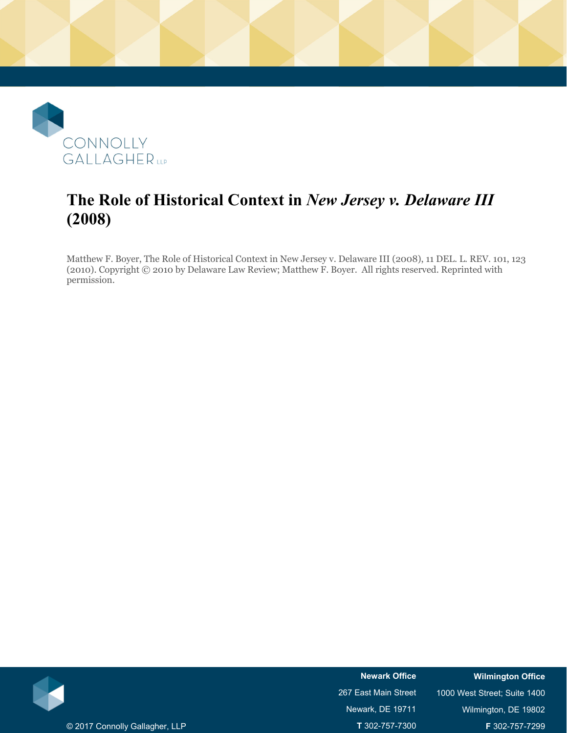

# **The Role of Historical Context in** *New Jersey v. Delaware III* **(2008)**

Matthew F. Boyer, The Role of Historical Context in New Jersey v. Delaware III (2008), 11 DEL. L. REV. 101, 123 (2010). Copyright © 2010 by Delaware Law Review; Matthew F. Boyer. All rights reserved. Reprinted with permission.



**Newark Office**  267 East Main Street Newark, DE 19711 **T** 302-757-7300 **Wilmington Office** 

1000 West Street; Suite 1400 Wilmington, DE 19802 **F** 302-757-7299

© 2017 Connolly Gallagher, LLP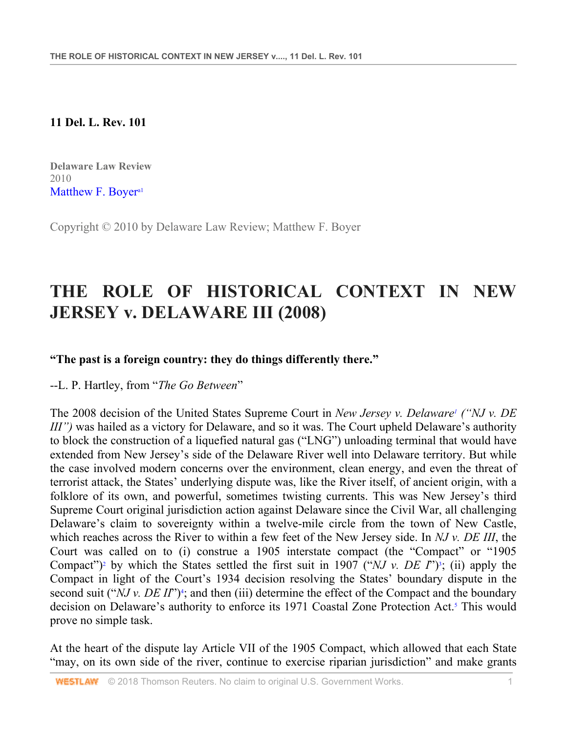#### **11 Del. L. Rev. 101**

**Delaware Law Review**  2010 Matthew F. Boyer<sup>a1</sup>

Copyright © 2010 by Delaware Law Review; Matthew F. Boyer

# **THE ROLE OF HISTORICAL CONTEXT IN NEW JERSEY v. DELAWARE III (2008)**

#### **"The past is a foreign country: they do things differently there."**

#### --L. P. Hartley, from "*The Go Between*"

The 2008 decision of the United States Supreme Court in *New Jersey v. Delaware<sup>1</sup>* ("*NJ v. DE III"*) was hailed as a victory for Delaware, and so it was. The Court upheld Delaware's authority to block the construction of a liquefied natural gas ("LNG") unloading terminal that would have extended from New Jersey's side of the Delaware River well into Delaware territory. But while the case involved modern concerns over the environment, clean energy, and even the threat of terrorist attack, the States' underlying dispute was, like the River itself, of ancient origin, with a folklore of its own, and powerful, sometimes twisting currents. This was New Jersey's third Supreme Court original jurisdiction action against Delaware since the Civil War, all challenging Delaware's claim to sovereignty within a twelve-mile circle from the town of New Castle, which reaches across the River to within a few feet of the New Jersey side. In *NJ v. DE III*, the Court was called on to (i) construe a 1905 interstate compact (the "Compact" or "1905 Compact")<sup>2</sup> by which the States settled the first suit in 1907 ("*NJ v. DE I*")<sup>3</sup>; (ii) apply the Compact in light of the Court's 1934 decision resolving the States' boundary dispute in the second suit ("*NJ v. DE II*")<sup>4</sup>; and then (iii) determine the effect of the Compact and the boundary decision on Delaware's authority to enforce its 1971 Coastal Zone Protection Act.<sup>5</sup> This would prove no simple task.

At the heart of the dispute lay Article VII of the 1905 Compact, which allowed that each State "may, on its own side of the river, continue to exercise riparian jurisdiction" and make grants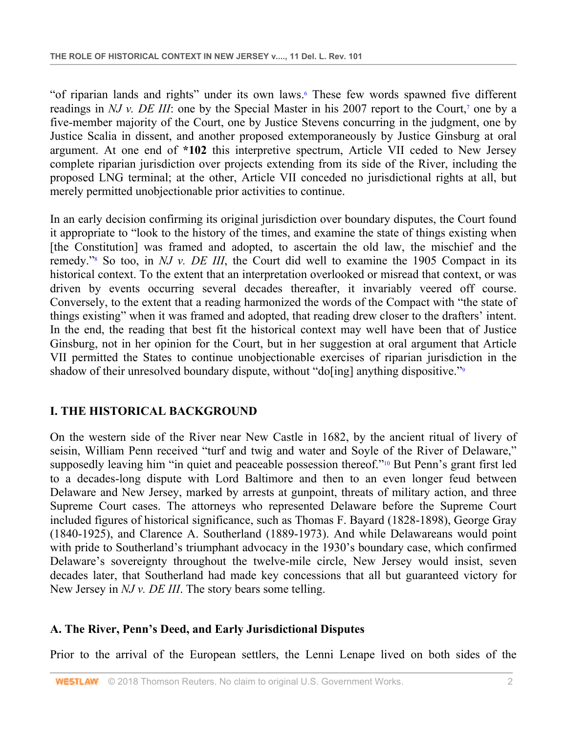"of riparian lands and rights" under its own laws.<sup>6</sup> These few words spawned five different readings in *NJ v. DE III*: one by the Special Master in his 2007 report to the Court,<sup>7</sup> one by a five-member majority of the Court, one by Justice Stevens concurring in the judgment, one by Justice Scalia in dissent, and another proposed extemporaneously by Justice Ginsburg at oral argument. At one end of **\*102** this interpretive spectrum, Article VII ceded to New Jersey complete riparian jurisdiction over projects extending from its side of the River, including the proposed LNG terminal; at the other, Article VII conceded no jurisdictional rights at all, but merely permitted unobjectionable prior activities to continue.

In an early decision confirming its original jurisdiction over boundary disputes, the Court found it appropriate to "look to the history of the times, and examine the state of things existing when [the Constitution] was framed and adopted, to ascertain the old law, the mischief and the remedy."<sup>8</sup> So too, in *NJ v. DE III*, the Court did well to examine the 1905 Compact in its historical context. To the extent that an interpretation overlooked or misread that context, or was driven by events occurring several decades thereafter, it invariably veered off course. Conversely, to the extent that a reading harmonized the words of the Compact with "the state of things existing" when it was framed and adopted, that reading drew closer to the drafters' intent. In the end, the reading that best fit the historical context may well have been that of Justice Ginsburg, not in her opinion for the Court, but in her suggestion at oral argument that Article VII permitted the States to continue unobjectionable exercises of riparian jurisdiction in the shadow of their unresolved boundary dispute, without "do[ing] anything dispositive."<sup>9</sup>

# **I. THE HISTORICAL BACKGROUND**

On the western side of the River near New Castle in 1682, by the ancient ritual of livery of seisin, William Penn received "turf and twig and water and Soyle of the River of Delaware," supposedly leaving him "in quiet and peaceable possession thereof."<sup>10</sup> But Penn's grant first led to a decades-long dispute with Lord Baltimore and then to an even longer feud between Delaware and New Jersey, marked by arrests at gunpoint, threats of military action, and three Supreme Court cases. The attorneys who represented Delaware before the Supreme Court included figures of historical significance, such as Thomas F. Bayard (1828-1898), George Gray (1840-1925), and Clarence A. Southerland (1889-1973). And while Delawareans would point with pride to Southerland's triumphant advocacy in the 1930's boundary case, which confirmed Delaware's sovereignty throughout the twelve-mile circle, New Jersey would insist, seven decades later, that Southerland had made key concessions that all but guaranteed victory for New Jersey in *NJ v. DE III*. The story bears some telling.

# **A. The River, Penn's Deed, and Early Jurisdictional Disputes**

Prior to the arrival of the European settlers, the Lenni Lenape lived on both sides of the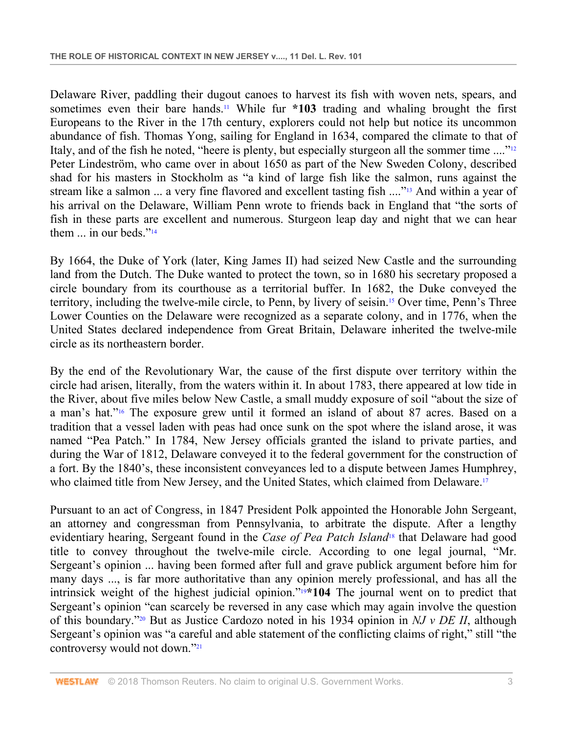Delaware River, paddling their dugout canoes to harvest its fish with woven nets, spears, and sometimes even their bare hands.11 While fur **\*103** trading and whaling brought the first Europeans to the River in the 17th century, explorers could not help but notice its uncommon abundance of fish. Thomas Yong, sailing for England in 1634, compared the climate to that of Italy, and of the fish he noted, "heere is plenty, but especially sturgeon all the sommer time ...."12 Peter Lindeström, who came over in about 1650 as part of the New Sweden Colony, described shad for his masters in Stockholm as "a kind of large fish like the salmon, runs against the stream like a salmon ... a very fine flavored and excellent tasting fish ...."<sup>13</sup> And within a year of his arrival on the Delaware, William Penn wrote to friends back in England that "the sorts of fish in these parts are excellent and numerous. Sturgeon leap day and night that we can hear them  $\ldots$  in our beds."<sup>14</sup>

By 1664, the Duke of York (later, King James II) had seized New Castle and the surrounding land from the Dutch. The Duke wanted to protect the town, so in 1680 his secretary proposed a circle boundary from its courthouse as a territorial buffer. In 1682, the Duke conveyed the territory, including the twelve-mile circle, to Penn, by livery of seisin.15 Over time, Penn's Three Lower Counties on the Delaware were recognized as a separate colony, and in 1776, when the United States declared independence from Great Britain, Delaware inherited the twelve-mile circle as its northeastern border.

By the end of the Revolutionary War, the cause of the first dispute over territory within the circle had arisen, literally, from the waters within it. In about 1783, there appeared at low tide in the River, about five miles below New Castle, a small muddy exposure of soil "about the size of a man's hat."16 The exposure grew until it formed an island of about 87 acres. Based on a tradition that a vessel laden with peas had once sunk on the spot where the island arose, it was named "Pea Patch." In 1784, New Jersey officials granted the island to private parties, and during the War of 1812, Delaware conveyed it to the federal government for the construction of a fort. By the 1840's, these inconsistent conveyances led to a dispute between James Humphrey, who claimed title from New Jersey, and the United States, which claimed from Delaware.<sup>17</sup>

Pursuant to an act of Congress, in 1847 President Polk appointed the Honorable John Sergeant, an attorney and congressman from Pennsylvania, to arbitrate the dispute. After a lengthy evidentiary hearing, Sergeant found in the *Case of Pea Patch Island*18 that Delaware had good title to convey throughout the twelve-mile circle. According to one legal journal, "Mr. Sergeant's opinion ... having been formed after full and grave publick argument before him for many days ..., is far more authoritative than any opinion merely professional, and has all the intrinsick weight of the highest judicial opinion."19**\*104** The journal went on to predict that Sergeant's opinion "can scarcely be reversed in any case which may again involve the question of this boundary."20 But as Justice Cardozo noted in his 1934 opinion in *NJ v DE II*, although Sergeant's opinion was "a careful and able statement of the conflicting claims of right," still "the controversy would not down."<sup>21</sup>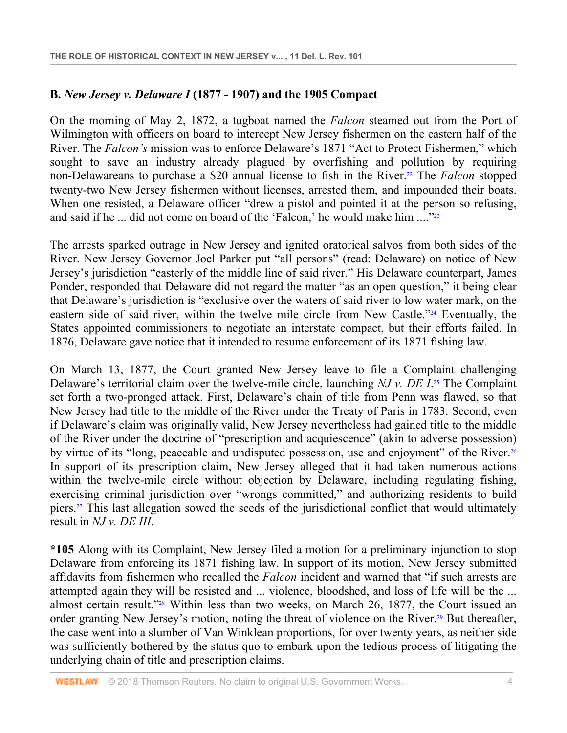# **B.** *New Jersey v. Delaware I* **(1877 - 1907) and the 1905 Compact**

On the morning of May 2, 1872, a tugboat named the *Falcon* steamed out from the Port of Wilmington with officers on board to intercept New Jersey fishermen on the eastern half of the River. The *Falcon's* mission was to enforce Delaware's 1871 "Act to Protect Fishermen," which sought to save an industry already plagued by overfishing and pollution by requiring non-Delawareans to purchase a \$20 annual license to fish in the River.22 The *Falcon* stopped twenty-two New Jersey fishermen without licenses, arrested them, and impounded their boats. When one resisted, a Delaware officer "drew a pistol and pointed it at the person so refusing, and said if he ... did not come on board of the 'Falcon,' he would make him ...."<sup>223</sup>

The arrests sparked outrage in New Jersey and ignited oratorical salvos from both sides of the River. New Jersey Governor Joel Parker put "all persons" (read: Delaware) on notice of New Jersey's jurisdiction "easterly of the middle line of said river." His Delaware counterpart, James Ponder, responded that Delaware did not regard the matter "as an open question," it being clear that Delaware's jurisdiction is "exclusive over the waters of said river to low water mark, on the eastern side of said river, within the twelve mile circle from New Castle."<sup>24</sup> Eventually, the States appointed commissioners to negotiate an interstate compact, but their efforts failed. In 1876, Delaware gave notice that it intended to resume enforcement of its 1871 fishing law.

On March 13, 1877, the Court granted New Jersey leave to file a Complaint challenging Delaware's territorial claim over the twelve-mile circle, launching *NJ v. DE I*. 25 The Complaint set forth a two-pronged attack. First, Delaware's chain of title from Penn was flawed, so that New Jersey had title to the middle of the River under the Treaty of Paris in 1783. Second, even if Delaware's claim was originally valid, New Jersey nevertheless had gained title to the middle of the River under the doctrine of "prescription and acquiescence" (akin to adverse possession) by virtue of its "long, peaceable and undisputed possession, use and enjoyment" of the River.<sup>26</sup> In support of its prescription claim, New Jersey alleged that it had taken numerous actions within the twelve-mile circle without objection by Delaware, including regulating fishing, exercising criminal jurisdiction over "wrongs committed," and authorizing residents to build piers.27 This last allegation sowed the seeds of the jurisdictional conflict that would ultimately result in *NJ v. DE III*.

**\*105** Along with its Complaint, New Jersey filed a motion for a preliminary injunction to stop Delaware from enforcing its 1871 fishing law. In support of its motion, New Jersey submitted affidavits from fishermen who recalled the *Falcon* incident and warned that "if such arrests are attempted again they will be resisted and ... violence, bloodshed, and loss of life will be the ... almost certain result."28 Within less than two weeks, on March 26, 1877, the Court issued an order granting New Jersey's motion, noting the threat of violence on the River.<sup>29</sup> But thereafter, the case went into a slumber of Van Winklean proportions, for over twenty years, as neither side was sufficiently bothered by the status quo to embark upon the tedious process of litigating the underlying chain of title and prescription claims.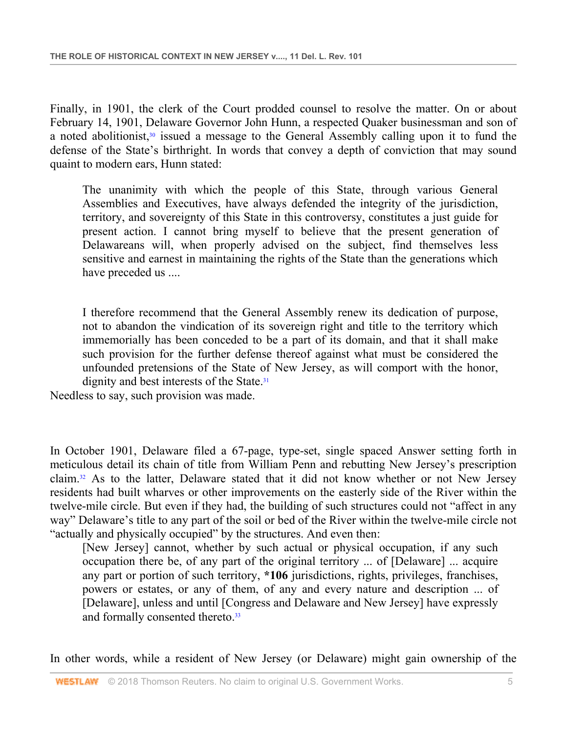Finally, in 1901, the clerk of the Court prodded counsel to resolve the matter. On or about February 14, 1901, Delaware Governor John Hunn, a respected Quaker businessman and son of a noted abolitionist, $30$  issued a message to the General Assembly calling upon it to fund the defense of the State's birthright. In words that convey a depth of conviction that may sound quaint to modern ears, Hunn stated:

The unanimity with which the people of this State, through various General Assemblies and Executives, have always defended the integrity of the jurisdiction, territory, and sovereignty of this State in this controversy, constitutes a just guide for present action. I cannot bring myself to believe that the present generation of Delawareans will, when properly advised on the subject, find themselves less sensitive and earnest in maintaining the rights of the State than the generations which have preceded us ....

I therefore recommend that the General Assembly renew its dedication of purpose, not to abandon the vindication of its sovereign right and title to the territory which immemorially has been conceded to be a part of its domain, and that it shall make such provision for the further defense thereof against what must be considered the unfounded pretensions of the State of New Jersey, as will comport with the honor, dignity and best interests of the State.<sup>31</sup>

Needless to say, such provision was made.

In October 1901, Delaware filed a 67-page, type-set, single spaced Answer setting forth in meticulous detail its chain of title from William Penn and rebutting New Jersey's prescription claim.32 As to the latter, Delaware stated that it did not know whether or not New Jersey residents had built wharves or other improvements on the easterly side of the River within the twelve-mile circle. But even if they had, the building of such structures could not "affect in any way" Delaware's title to any part of the soil or bed of the River within the twelve-mile circle not "actually and physically occupied" by the structures. And even then:

[New Jersey] cannot, whether by such actual or physical occupation, if any such occupation there be, of any part of the original territory ... of [Delaware] ... acquire any part or portion of such territory, **\*106** jurisdictions, rights, privileges, franchises, powers or estates, or any of them, of any and every nature and description ... of [Delaware], unless and until [Congress and Delaware and New Jersey] have expressly and formally consented thereto.<sup>33</sup>

In other words, while a resident of New Jersey (or Delaware) might gain ownership of the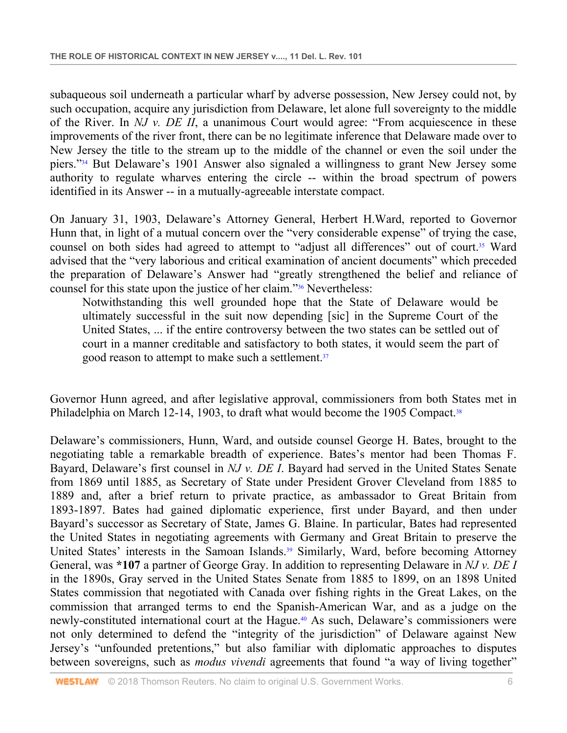subaqueous soil underneath a particular wharf by adverse possession, New Jersey could not, by such occupation, acquire any jurisdiction from Delaware, let alone full sovereignty to the middle of the River. In *NJ v. DE II*, a unanimous Court would agree: "From acquiescence in these improvements of the river front, there can be no legitimate inference that Delaware made over to New Jersey the title to the stream up to the middle of the channel or even the soil under the piers."34 But Delaware's 1901 Answer also signaled a willingness to grant New Jersey some authority to regulate wharves entering the circle -- within the broad spectrum of powers identified in its Answer -- in a mutually-agreeable interstate compact.

On January 31, 1903, Delaware's Attorney General, Herbert H.Ward, reported to Governor Hunn that, in light of a mutual concern over the "very considerable expense" of trying the case, counsel on both sides had agreed to attempt to "adjust all differences" out of court.<sup>35</sup> Ward advised that the "very laborious and critical examination of ancient documents" which preceded the preparation of Delaware's Answer had "greatly strengthened the belief and reliance of counsel for this state upon the justice of her claim."36 Nevertheless:

Notwithstanding this well grounded hope that the State of Delaware would be ultimately successful in the suit now depending [sic] in the Supreme Court of the United States, ... if the entire controversy between the two states can be settled out of court in a manner creditable and satisfactory to both states, it would seem the part of good reason to attempt to make such a settlement.37

Governor Hunn agreed, and after legislative approval, commissioners from both States met in Philadelphia on March 12-14, 1903, to draft what would become the 1905 Compact.<sup>38</sup>

Delaware's commissioners, Hunn, Ward, and outside counsel George H. Bates, brought to the negotiating table a remarkable breadth of experience. Bates's mentor had been Thomas F. Bayard, Delaware's first counsel in *NJ v. DE I*. Bayard had served in the United States Senate from 1869 until 1885, as Secretary of State under President Grover Cleveland from 1885 to 1889 and, after a brief return to private practice, as ambassador to Great Britain from 1893-1897. Bates had gained diplomatic experience, first under Bayard, and then under Bayard's successor as Secretary of State, James G. Blaine. In particular, Bates had represented the United States in negotiating agreements with Germany and Great Britain to preserve the United States' interests in the Samoan Islands.<sup>39</sup> Similarly, Ward, before becoming Attorney General, was **\*107** a partner of George Gray. In addition to representing Delaware in *NJ v. DE I* in the 1890s, Gray served in the United States Senate from 1885 to 1899, on an 1898 United States commission that negotiated with Canada over fishing rights in the Great Lakes, on the commission that arranged terms to end the Spanish-American War, and as a judge on the newly-constituted international court at the Hague.40 As such, Delaware's commissioners were not only determined to defend the "integrity of the jurisdiction" of Delaware against New Jersey's "unfounded pretentions," but also familiar with diplomatic approaches to disputes between sovereigns, such as *modus vivendi* agreements that found "a way of living together"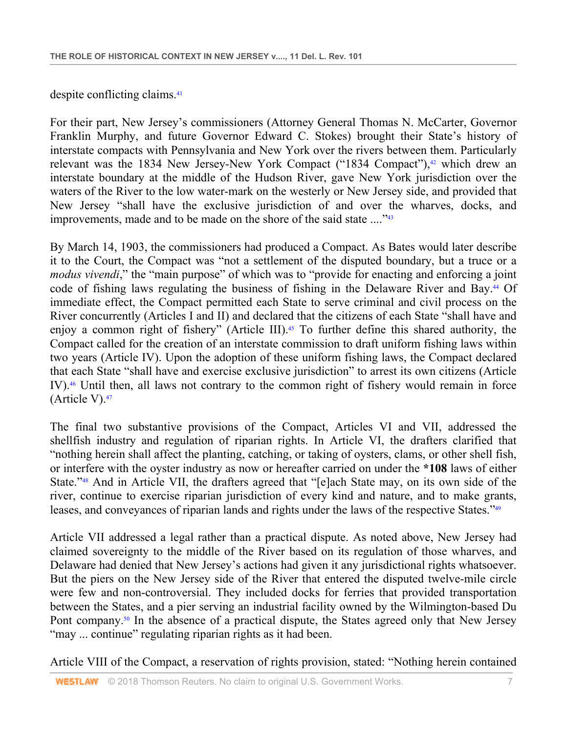despite conflicting claims.41

For their part, New Jersey's commissioners (Attorney General Thomas N. McCarter, Governor Franklin Murphy, and future Governor Edward C. Stokes) brought their State's history of interstate compacts with Pennsylvania and New York over the rivers between them. Particularly relevant was the 1834 New Jersey-New York Compact ("1834 Compact"), $42$  which drew an interstate boundary at the middle of the Hudson River, gave New York jurisdiction over the waters of the River to the low water-mark on the westerly or New Jersey side, and provided that New Jersey "shall have the exclusive jurisdiction of and over the wharves, docks, and improvements, made and to be made on the shore of the said state ...."<sup>43</sup>

By March 14, 1903, the commissioners had produced a Compact. As Bates would later describe it to the Court, the Compact was "not a settlement of the disputed boundary, but a truce or a *modus vivendi*," the "main purpose" of which was to "provide for enacting and enforcing a joint code of fishing laws regulating the business of fishing in the Delaware River and Bay.<sup>44</sup> Of immediate effect, the Compact permitted each State to serve criminal and civil process on the River concurrently (Articles I and II) and declared that the citizens of each State "shall have and enjoy a common right of fishery" (Article III).<sup>45</sup> To further define this shared authority, the Compact called for the creation of an interstate commission to draft uniform fishing laws within two years (Article IV). Upon the adoption of these uniform fishing laws, the Compact declared that each State "shall have and exercise exclusive jurisdiction" to arrest its own citizens (Article IV).46 Until then, all laws not contrary to the common right of fishery would remain in force (Article V).47

The final two substantive provisions of the Compact, Articles VI and VII, addressed the shellfish industry and regulation of riparian rights. In Article VI, the drafters clarified that "nothing herein shall affect the planting, catching, or taking of oysters, clams, or other shell fish, or interfere with the oyster industry as now or hereafter carried on under the **\*108** laws of either State."48 And in Article VII, the drafters agreed that "[e]ach State may, on its own side of the river, continue to exercise riparian jurisdiction of every kind and nature, and to make grants, leases, and conveyances of riparian lands and rights under the laws of the respective States."49

Article VII addressed a legal rather than a practical dispute. As noted above, New Jersey had claimed sovereignty to the middle of the River based on its regulation of those wharves, and Delaware had denied that New Jersey's actions had given it any jurisdictional rights whatsoever. But the piers on the New Jersey side of the River that entered the disputed twelve-mile circle were few and non-controversial. They included docks for ferries that provided transportation between the States, and a pier serving an industrial facility owned by the Wilmington-based Du Pont company.<sup>50</sup> In the absence of a practical dispute, the States agreed only that New Jersey "may ... continue" regulating riparian rights as it had been.

Article VIII of the Compact, a reservation of rights provision, stated: "Nothing herein contained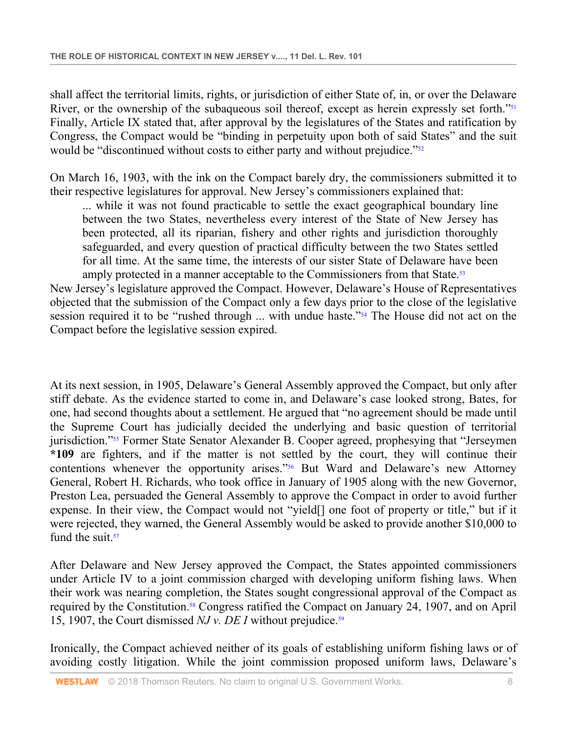shall affect the territorial limits, rights, or jurisdiction of either State of, in, or over the Delaware River, or the ownership of the subaqueous soil thereof, except as herein expressly set forth."<sup>51</sup> Finally, Article IX stated that, after approval by the legislatures of the States and ratification by Congress, the Compact would be "binding in perpetuity upon both of said States" and the suit would be "discontinued without costs to either party and without prejudice."<sup>52</sup>

On March 16, 1903, with the ink on the Compact barely dry, the commissioners submitted it to their respective legislatures for approval. New Jersey's commissioners explained that:

... while it was not found practicable to settle the exact geographical boundary line between the two States, nevertheless every interest of the State of New Jersey has been protected, all its riparian, fishery and other rights and jurisdiction thoroughly safeguarded, and every question of practical difficulty between the two States settled for all time. At the same time, the interests of our sister State of Delaware have been amply protected in a manner acceptable to the Commissioners from that State.<sup>53</sup>

New Jersey's legislature approved the Compact. However, Delaware's House of Representatives objected that the submission of the Compact only a few days prior to the close of the legislative session required it to be "rushed through ... with undue haste."54 The House did not act on the Compact before the legislative session expired.

At its next session, in 1905, Delaware's General Assembly approved the Compact, but only after stiff debate. As the evidence started to come in, and Delaware's case looked strong, Bates, for one, had second thoughts about a settlement. He argued that "no agreement should be made until the Supreme Court has judicially decided the underlying and basic question of territorial jurisdiction."<sup>55</sup> Former State Senator Alexander B. Cooper agreed, prophesying that "Jerseymen" **\*109** are fighters, and if the matter is not settled by the court, they will continue their contentions whenever the opportunity arises."56 But Ward and Delaware's new Attorney General, Robert H. Richards, who took office in January of 1905 along with the new Governor, Preston Lea, persuaded the General Assembly to approve the Compact in order to avoid further expense. In their view, the Compact would not "yield[] one foot of property or title," but if it were rejected, they warned, the General Assembly would be asked to provide another \$10,000 to fund the suit. $57$ 

After Delaware and New Jersey approved the Compact, the States appointed commissioners under Article IV to a joint commission charged with developing uniform fishing laws. When their work was nearing completion, the States sought congressional approval of the Compact as required by the Constitution.58 Congress ratified the Compact on January 24, 1907, and on April 15, 1907, the Court dismissed *NJ v. DE I* without prejudice.<sup>59</sup>

Ironically, the Compact achieved neither of its goals of establishing uniform fishing laws or of avoiding costly litigation. While the joint commission proposed uniform laws, Delaware's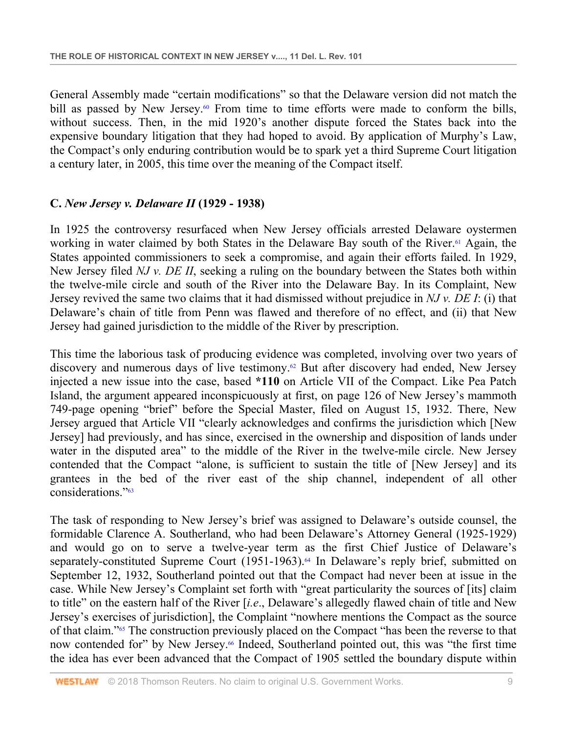General Assembly made "certain modifications" so that the Delaware version did not match the bill as passed by New Jersey.<sup>60</sup> From time to time efforts were made to conform the bills, without success. Then, in the mid 1920's another dispute forced the States back into the expensive boundary litigation that they had hoped to avoid. By application of Murphy's Law, the Compact's only enduring contribution would be to spark yet a third Supreme Court litigation a century later, in 2005, this time over the meaning of the Compact itself.

### **C.** *New Jersey v. Delaware II* **(1929 - 1938)**

In 1925 the controversy resurfaced when New Jersey officials arrested Delaware oystermen working in water claimed by both States in the Delaware Bay south of the River.<sup>61</sup> Again, the States appointed commissioners to seek a compromise, and again their efforts failed. In 1929, New Jersey filed *NJ v. DE II*, seeking a ruling on the boundary between the States both within the twelve-mile circle and south of the River into the Delaware Bay. In its Complaint, New Jersey revived the same two claims that it had dismissed without prejudice in *NJ v. DE I*: (i) that Delaware's chain of title from Penn was flawed and therefore of no effect, and (ii) that New Jersey had gained jurisdiction to the middle of the River by prescription.

This time the laborious task of producing evidence was completed, involving over two years of discovery and numerous days of live testimony.62 But after discovery had ended, New Jersey injected a new issue into the case, based **\*110** on Article VII of the Compact. Like Pea Patch Island, the argument appeared inconspicuously at first, on page 126 of New Jersey's mammoth 749-page opening "brief" before the Special Master, filed on August 15, 1932. There, New Jersey argued that Article VII "clearly acknowledges and confirms the jurisdiction which [New Jersey] had previously, and has since, exercised in the ownership and disposition of lands under water in the disputed area" to the middle of the River in the twelve-mile circle. New Jersey contended that the Compact "alone, is sufficient to sustain the title of [New Jersey] and its grantees in the bed of the river east of the ship channel, independent of all other considerations."63

The task of responding to New Jersey's brief was assigned to Delaware's outside counsel, the formidable Clarence A. Southerland, who had been Delaware's Attorney General (1925-1929) and would go on to serve a twelve-year term as the first Chief Justice of Delaware's separately-constituted Supreme Court (1951-1963).<sup>64</sup> In Delaware's reply brief, submitted on September 12, 1932, Southerland pointed out that the Compact had never been at issue in the case. While New Jersey's Complaint set forth with "great particularity the sources of [its] claim to title" on the eastern half of the River [*i.e*., Delaware's allegedly flawed chain of title and New Jersey's exercises of jurisdiction], the Complaint "nowhere mentions the Compact as the source of that claim."65 The construction previously placed on the Compact "has been the reverse to that now contended for" by New Jersey.<sup>66</sup> Indeed, Southerland pointed out, this was "the first time the idea has ever been advanced that the Compact of 1905 settled the boundary dispute within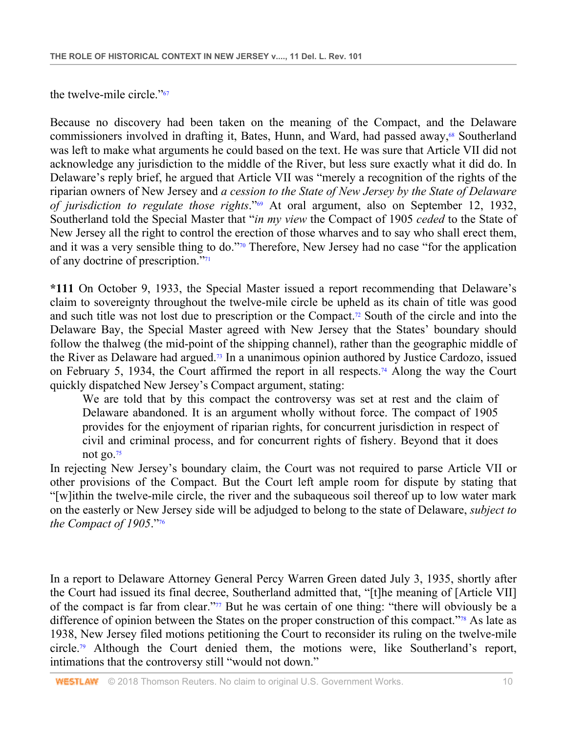the twelve-mile circle."67

Because no discovery had been taken on the meaning of the Compact, and the Delaware commissioners involved in drafting it, Bates, Hunn, and Ward, had passed away,<sup>68</sup> Southerland was left to make what arguments he could based on the text. He was sure that Article VII did not acknowledge any jurisdiction to the middle of the River, but less sure exactly what it did do. In Delaware's reply brief, he argued that Article VII was "merely a recognition of the rights of the riparian owners of New Jersey and *a cession to the State of New Jersey by the State of Delaware of jurisdiction to regulate those rights*."69 At oral argument, also on September 12, 1932, Southerland told the Special Master that "*in my view* the Compact of 1905 *ceded* to the State of New Jersey all the right to control the erection of those wharves and to say who shall erect them, and it was a very sensible thing to do."70 Therefore, New Jersey had no case "for the application of any doctrine of prescription."71

**\*111** On October 9, 1933, the Special Master issued a report recommending that Delaware's claim to sovereignty throughout the twelve-mile circle be upheld as its chain of title was good and such title was not lost due to prescription or the Compact.72 South of the circle and into the Delaware Bay, the Special Master agreed with New Jersey that the States' boundary should follow the thalweg (the mid-point of the shipping channel), rather than the geographic middle of the River as Delaware had argued.73 In a unanimous opinion authored by Justice Cardozo, issued on February 5, 1934, the Court affirmed the report in all respects.74 Along the way the Court quickly dispatched New Jersey's Compact argument, stating:

We are told that by this compact the controversy was set at rest and the claim of Delaware abandoned. It is an argument wholly without force. The compact of 1905 provides for the enjoyment of riparian rights, for concurrent jurisdiction in respect of civil and criminal process, and for concurrent rights of fishery. Beyond that it does not go.75

In rejecting New Jersey's boundary claim, the Court was not required to parse Article VII or other provisions of the Compact. But the Court left ample room for dispute by stating that "[w]ithin the twelve-mile circle, the river and the subaqueous soil thereof up to low water mark on the easterly or New Jersey side will be adjudged to belong to the state of Delaware, *subject to the Compact of 1905*."76

In a report to Delaware Attorney General Percy Warren Green dated July 3, 1935, shortly after the Court had issued its final decree, Southerland admitted that, "[t]he meaning of [Article VII] of the compact is far from clear."77 But he was certain of one thing: "there will obviously be a difference of opinion between the States on the proper construction of this compact."<sup>78</sup> As late as 1938, New Jersey filed motions petitioning the Court to reconsider its ruling on the twelve-mile circle.79 Although the Court denied them, the motions were, like Southerland's report, intimations that the controversy still "would not down."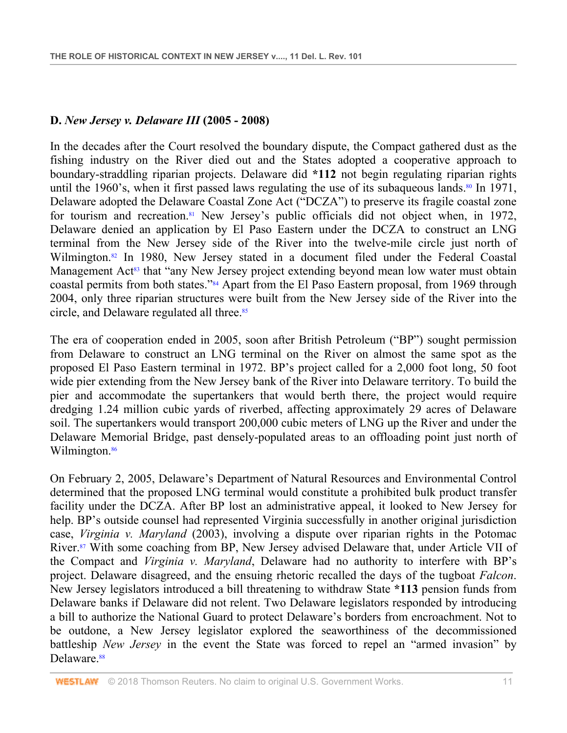#### **D.** *New Jersey v. Delaware III* **(2005 - 2008)**

In the decades after the Court resolved the boundary dispute, the Compact gathered dust as the fishing industry on the River died out and the States adopted a cooperative approach to boundary-straddling riparian projects. Delaware did **\*112** not begin regulating riparian rights until the 1960's, when it first passed laws regulating the use of its subaqueous lands.<sup>80</sup> In 1971, Delaware adopted the Delaware Coastal Zone Act ("DCZA") to preserve its fragile coastal zone for tourism and recreation.<sup>81</sup> New Jersey's public officials did not object when, in 1972, Delaware denied an application by El Paso Eastern under the DCZA to construct an LNG terminal from the New Jersey side of the River into the twelve-mile circle just north of Wilmington.<sup>82</sup> In 1980, New Jersey stated in a document filed under the Federal Coastal Management Act<sup>83</sup> that "any New Jersey project extending beyond mean low water must obtain coastal permits from both states."84 Apart from the El Paso Eastern proposal, from 1969 through 2004, only three riparian structures were built from the New Jersey side of the River into the circle, and Delaware regulated all three.<sup>85</sup>

The era of cooperation ended in 2005, soon after British Petroleum ("BP") sought permission from Delaware to construct an LNG terminal on the River on almost the same spot as the proposed El Paso Eastern terminal in 1972. BP's project called for a 2,000 foot long, 50 foot wide pier extending from the New Jersey bank of the River into Delaware territory. To build the pier and accommodate the supertankers that would berth there, the project would require dredging 1.24 million cubic yards of riverbed, affecting approximately 29 acres of Delaware soil. The supertankers would transport 200,000 cubic meters of LNG up the River and under the Delaware Memorial Bridge, past densely-populated areas to an offloading point just north of Wilmington.<sup>86</sup>

On February 2, 2005, Delaware's Department of Natural Resources and Environmental Control determined that the proposed LNG terminal would constitute a prohibited bulk product transfer facility under the DCZA. After BP lost an administrative appeal, it looked to New Jersey for help. BP's outside counsel had represented Virginia successfully in another original jurisdiction case, *Virginia v. Maryland* (2003), involving a dispute over riparian rights in the Potomac River.<sup>87</sup> With some coaching from BP, New Jersey advised Delaware that, under Article VII of the Compact and *Virginia v. Maryland*, Delaware had no authority to interfere with BP's project. Delaware disagreed, and the ensuing rhetoric recalled the days of the tugboat *Falcon*. New Jersey legislators introduced a bill threatening to withdraw State **\*113** pension funds from Delaware banks if Delaware did not relent. Two Delaware legislators responded by introducing a bill to authorize the National Guard to protect Delaware's borders from encroachment. Not to be outdone, a New Jersey legislator explored the seaworthiness of the decommissioned battleship *New Jersey* in the event the State was forced to repel an "armed invasion" by Delaware.<sup>88</sup>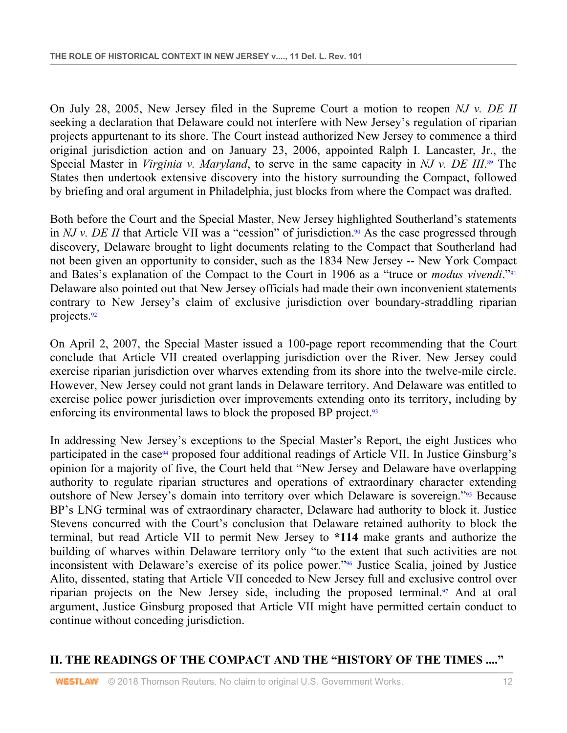On July 28, 2005, New Jersey filed in the Supreme Court a motion to reopen *NJ v. DE II* seeking a declaration that Delaware could not interfere with New Jersey's regulation of riparian projects appurtenant to its shore. The Court instead authorized New Jersey to commence a third original jurisdiction action and on January 23, 2006, appointed Ralph I. Lancaster, Jr., the Special Master in *Virginia v. Maryland*, to serve in the same capacity in *NJ v. DE III*. 89 The States then undertook extensive discovery into the history surrounding the Compact, followed by briefing and oral argument in Philadelphia, just blocks from where the Compact was drafted.

Both before the Court and the Special Master, New Jersey highlighted Southerland's statements in *NJ v. DE II* that Article VII was a "cession" of jurisdiction.<sup>90</sup> As the case progressed through discovery, Delaware brought to light documents relating to the Compact that Southerland had not been given an opportunity to consider, such as the 1834 New Jersey -- New York Compact and Bates's explanation of the Compact to the Court in 1906 as a "truce or *modus vivendi*."91 Delaware also pointed out that New Jersey officials had made their own inconvenient statements contrary to New Jersey's claim of exclusive jurisdiction over boundary-straddling riparian projects.92

On April 2, 2007, the Special Master issued a 100-page report recommending that the Court conclude that Article VII created overlapping jurisdiction over the River. New Jersey could exercise riparian jurisdiction over wharves extending from its shore into the twelve-mile circle. However, New Jersey could not grant lands in Delaware territory. And Delaware was entitled to exercise police power jurisdiction over improvements extending onto its territory, including by enforcing its environmental laws to block the proposed BP project.<sup>93</sup>

In addressing New Jersey's exceptions to the Special Master's Report, the eight Justices who participated in the case<sup>94</sup> proposed four additional readings of Article VII. In Justice Ginsburg's opinion for a majority of five, the Court held that "New Jersey and Delaware have overlapping authority to regulate riparian structures and operations of extraordinary character extending outshore of New Jersey's domain into territory over which Delaware is sovereign."95 Because BP's LNG terminal was of extraordinary character, Delaware had authority to block it. Justice Stevens concurred with the Court's conclusion that Delaware retained authority to block the terminal, but read Article VII to permit New Jersey to **\*114** make grants and authorize the building of wharves within Delaware territory only "to the extent that such activities are not inconsistent with Delaware's exercise of its police power."96 Justice Scalia, joined by Justice Alito, dissented, stating that Article VII conceded to New Jersey full and exclusive control over riparian projects on the New Jersey side, including the proposed terminal.<sup>97</sup> And at oral argument, Justice Ginsburg proposed that Article VII might have permitted certain conduct to continue without conceding jurisdiction.

# **II. THE READINGS OF THE COMPACT AND THE "HISTORY OF THE TIMES ...."**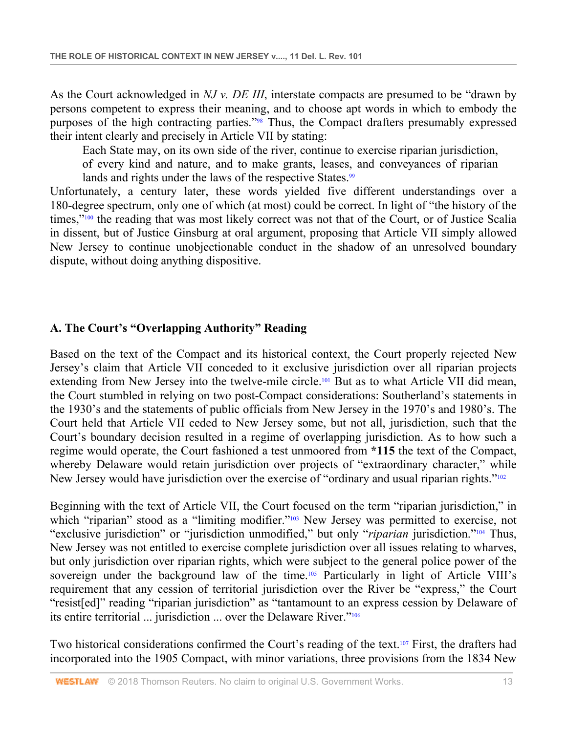As the Court acknowledged in *NJ v. DE III*, interstate compacts are presumed to be "drawn by persons competent to express their meaning, and to choose apt words in which to embody the purposes of the high contracting parties."98 Thus, the Compact drafters presumably expressed their intent clearly and precisely in Article VII by stating:

Each State may, on its own side of the river, continue to exercise riparian jurisdiction, of every kind and nature, and to make grants, leases, and conveyances of riparian lands and rights under the laws of the respective States.<sup>99</sup>

Unfortunately, a century later, these words yielded five different understandings over a 180-degree spectrum, only one of which (at most) could be correct. In light of "the history of the times,"<sup>100</sup> the reading that was most likely correct was not that of the Court, or of Justice Scalia in dissent, but of Justice Ginsburg at oral argument, proposing that Article VII simply allowed New Jersey to continue unobjectionable conduct in the shadow of an unresolved boundary dispute, without doing anything dispositive.

### **A. The Court's "Overlapping Authority" Reading**

Based on the text of the Compact and its historical context, the Court properly rejected New Jersey's claim that Article VII conceded to it exclusive jurisdiction over all riparian projects extending from New Jersey into the twelve-mile circle.<sup>101</sup> But as to what Article VII did mean, the Court stumbled in relying on two post-Compact considerations: Southerland's statements in the 1930's and the statements of public officials from New Jersey in the 1970's and 1980's. The Court held that Article VII ceded to New Jersey some, but not all, jurisdiction, such that the Court's boundary decision resulted in a regime of overlapping jurisdiction. As to how such a regime would operate, the Court fashioned a test unmoored from **\*115** the text of the Compact, whereby Delaware would retain jurisdiction over projects of "extraordinary character," while New Jersey would have jurisdiction over the exercise of "ordinary and usual riparian rights."<sup>102</sup>

Beginning with the text of Article VII, the Court focused on the term "riparian jurisdiction," in which "riparian" stood as a "limiting modifier."<sup>103</sup> New Jersey was permitted to exercise, not "exclusive jurisdiction" or "jurisdiction unmodified," but only "*riparian* jurisdiction."104 Thus, New Jersey was not entitled to exercise complete jurisdiction over all issues relating to wharves, but only jurisdiction over riparian rights, which were subject to the general police power of the sovereign under the background law of the time.<sup>105</sup> Particularly in light of Article VIII's requirement that any cession of territorial jurisdiction over the River be "express," the Court "resist[ed]" reading "riparian jurisdiction" as "tantamount to an express cession by Delaware of its entire territorial ... jurisdiction ... over the Delaware River."106

Two historical considerations confirmed the Court's reading of the text.<sup>107</sup> First, the drafters had incorporated into the 1905 Compact, with minor variations, three provisions from the 1834 New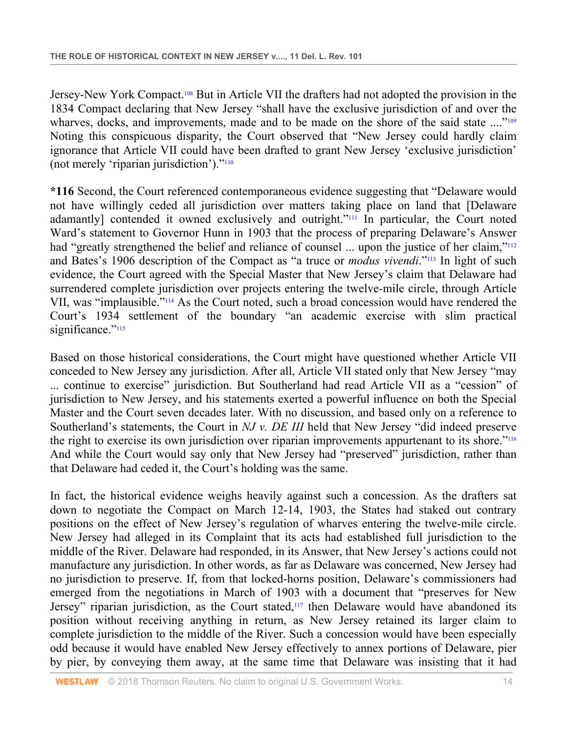Jersey-New York Compact.108 But in Article VII the drafters had not adopted the provision in the 1834 Compact declaring that New Jersey "shall have the exclusive jurisdiction of and over the wharves, docks, and improvements, made and to be made on the shore of the said state ...."<sup>109</sup> Noting this conspicuous disparity, the Court observed that "New Jersey could hardly claim ignorance that Article VII could have been drafted to grant New Jersey 'exclusive jurisdiction' (not merely 'riparian jurisdiction')."110

**\*116** Second, the Court referenced contemporaneous evidence suggesting that "Delaware would not have willingly ceded all jurisdiction over matters taking place on land that [Delaware adamantly] contended it owned exclusively and outright."<sup>111</sup> In particular, the Court noted Ward's statement to Governor Hunn in 1903 that the process of preparing Delaware's Answer had "greatly strengthened the belief and reliance of counsel ... upon the justice of her claim,"<sup>112</sup> and Bates's 1906 description of the Compact as "a truce or *modus vivendi*."113 In light of such evidence, the Court agreed with the Special Master that New Jersey's claim that Delaware had surrendered complete jurisdiction over projects entering the twelve-mile circle, through Article VII, was "implausible."114 As the Court noted, such a broad concession would have rendered the Court's 1934 settlement of the boundary "an academic exercise with slim practical significance."<sup>115</sup>

Based on those historical considerations, the Court might have questioned whether Article VII conceded to New Jersey any jurisdiction. After all, Article VII stated only that New Jersey "may ... continue to exercise" jurisdiction. But Southerland had read Article VII as a "cession" of jurisdiction to New Jersey, and his statements exerted a powerful influence on both the Special Master and the Court seven decades later. With no discussion, and based only on a reference to Southerland's statements, the Court in *NJ v. DE III* held that New Jersey "did indeed preserve the right to exercise its own jurisdiction over riparian improvements appurtenant to its shore."<sup>116</sup> And while the Court would say only that New Jersey had "preserved" jurisdiction, rather than that Delaware had ceded it, the Court's holding was the same.

In fact, the historical evidence weighs heavily against such a concession. As the drafters sat down to negotiate the Compact on March 12-14, 1903, the States had staked out contrary positions on the effect of New Jersey's regulation of wharves entering the twelve-mile circle. New Jersey had alleged in its Complaint that its acts had established full jurisdiction to the middle of the River. Delaware had responded, in its Answer, that New Jersey's actions could not manufacture any jurisdiction. In other words, as far as Delaware was concerned, New Jersey had no jurisdiction to preserve. If, from that locked-horns position, Delaware's commissioners had emerged from the negotiations in March of 1903 with a document that "preserves for New Jersey" riparian jurisdiction, as the Court stated, $117$  then Delaware would have abandoned its position without receiving anything in return, as New Jersey retained its larger claim to complete jurisdiction to the middle of the River. Such a concession would have been especially odd because it would have enabled New Jersey effectively to annex portions of Delaware, pier by pier, by conveying them away, at the same time that Delaware was insisting that it had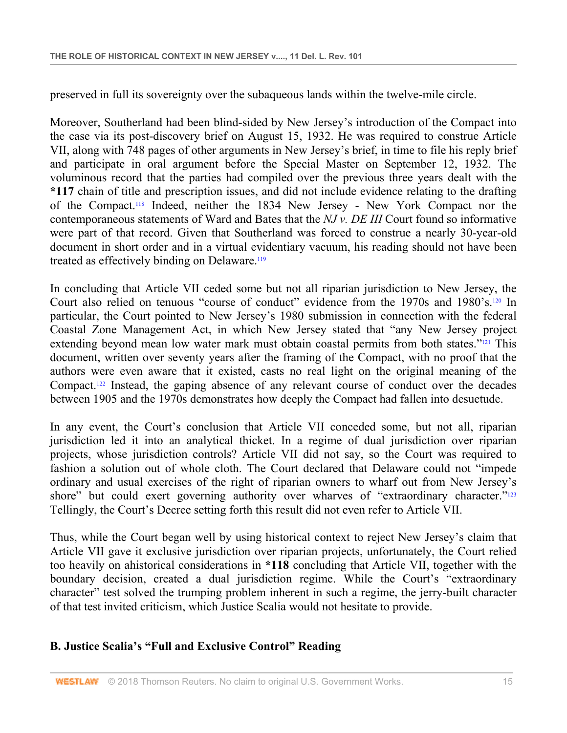preserved in full its sovereignty over the subaqueous lands within the twelve-mile circle.

Moreover, Southerland had been blind-sided by New Jersey's introduction of the Compact into the case via its post-discovery brief on August 15, 1932. He was required to construe Article VII, along with 748 pages of other arguments in New Jersey's brief, in time to file his reply brief and participate in oral argument before the Special Master on September 12, 1932. The voluminous record that the parties had compiled over the previous three years dealt with the **\*117** chain of title and prescription issues, and did not include evidence relating to the drafting of the Compact.118 Indeed, neither the 1834 New Jersey - New York Compact nor the contemporaneous statements of Ward and Bates that the *NJ v. DE III* Court found so informative were part of that record. Given that Southerland was forced to construe a nearly 30-year-old document in short order and in a virtual evidentiary vacuum, his reading should not have been treated as effectively binding on Delaware.119

In concluding that Article VII ceded some but not all riparian jurisdiction to New Jersey, the Court also relied on tenuous "course of conduct" evidence from the 1970s and 1980's.120 In particular, the Court pointed to New Jersey's 1980 submission in connection with the federal Coastal Zone Management Act, in which New Jersey stated that "any New Jersey project extending beyond mean low water mark must obtain coastal permits from both states."<sup>121</sup> This document, written over seventy years after the framing of the Compact, with no proof that the authors were even aware that it existed, casts no real light on the original meaning of the Compact.122 Instead, the gaping absence of any relevant course of conduct over the decades between 1905 and the 1970s demonstrates how deeply the Compact had fallen into desuetude.

In any event, the Court's conclusion that Article VII conceded some, but not all, riparian jurisdiction led it into an analytical thicket. In a regime of dual jurisdiction over riparian projects, whose jurisdiction controls? Article VII did not say, so the Court was required to fashion a solution out of whole cloth. The Court declared that Delaware could not "impede ordinary and usual exercises of the right of riparian owners to wharf out from New Jersey's shore" but could exert governing authority over wharves of "extraordinary character."<sup>123</sup> Tellingly, the Court's Decree setting forth this result did not even refer to Article VII.

Thus, while the Court began well by using historical context to reject New Jersey's claim that Article VII gave it exclusive jurisdiction over riparian projects, unfortunately, the Court relied too heavily on ahistorical considerations in **\*118** concluding that Article VII, together with the boundary decision, created a dual jurisdiction regime. While the Court's "extraordinary character" test solved the trumping problem inherent in such a regime, the jerry-built character of that test invited criticism, which Justice Scalia would not hesitate to provide.

# **B. Justice Scalia's "Full and Exclusive Control" Reading**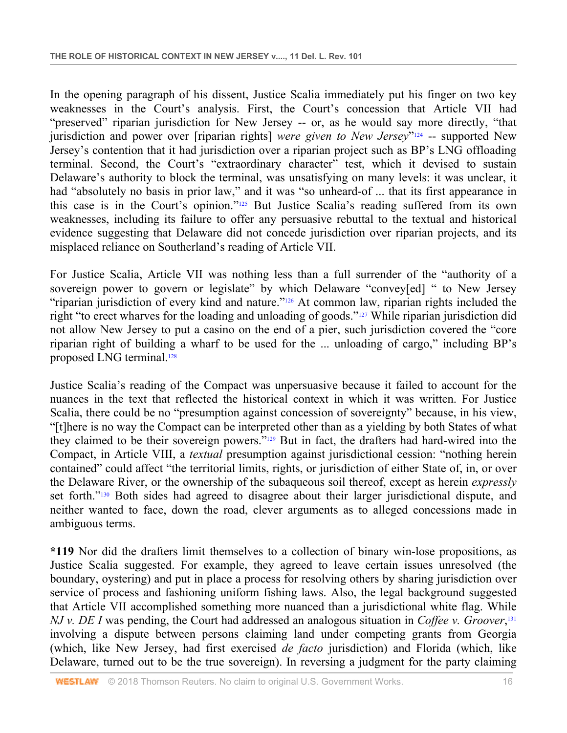In the opening paragraph of his dissent, Justice Scalia immediately put his finger on two key weaknesses in the Court's analysis. First, the Court's concession that Article VII had "preserved" riparian jurisdiction for New Jersey -- or, as he would say more directly, "that jurisdiction and power over [riparian rights] *were given to New Jersey*<sup>"124</sup> -- supported New Jersey's contention that it had jurisdiction over a riparian project such as BP's LNG offloading terminal. Second, the Court's "extraordinary character" test, which it devised to sustain Delaware's authority to block the terminal, was unsatisfying on many levels: it was unclear, it had "absolutely no basis in prior law," and it was "so unheard-of ... that its first appearance in this case is in the Court's opinion."125 But Justice Scalia's reading suffered from its own weaknesses, including its failure to offer any persuasive rebuttal to the textual and historical evidence suggesting that Delaware did not concede jurisdiction over riparian projects, and its misplaced reliance on Southerland's reading of Article VII.

For Justice Scalia, Article VII was nothing less than a full surrender of the "authority of a sovereign power to govern or legislate" by which Delaware "convey[ed] " to New Jersey "riparian jurisdiction of every kind and nature."<sup>126</sup> At common law, riparian rights included the right "to erect wharves for the loading and unloading of goods."127 While riparian jurisdiction did not allow New Jersey to put a casino on the end of a pier, such jurisdiction covered the "core riparian right of building a wharf to be used for the ... unloading of cargo," including BP's proposed LNG terminal.128

Justice Scalia's reading of the Compact was unpersuasive because it failed to account for the nuances in the text that reflected the historical context in which it was written. For Justice Scalia, there could be no "presumption against concession of sovereignty" because, in his view, "[t]here is no way the Compact can be interpreted other than as a yielding by both States of what they claimed to be their sovereign powers."129 But in fact, the drafters had hard-wired into the Compact, in Article VIII, a *textual* presumption against jurisdictional cession: "nothing herein contained" could affect "the territorial limits, rights, or jurisdiction of either State of, in, or over the Delaware River, or the ownership of the subaqueous soil thereof, except as herein *expressly* set forth."130 Both sides had agreed to disagree about their larger jurisdictional dispute, and neither wanted to face, down the road, clever arguments as to alleged concessions made in ambiguous terms.

**\*119** Nor did the drafters limit themselves to a collection of binary win-lose propositions, as Justice Scalia suggested. For example, they agreed to leave certain issues unresolved (the boundary, oystering) and put in place a process for resolving others by sharing jurisdiction over service of process and fashioning uniform fishing laws. Also, the legal background suggested that Article VII accomplished something more nuanced than a jurisdictional white flag. While *NJ v. DE I* was pending, the Court had addressed an analogous situation in *Coffee v. Groover*, 131 involving a dispute between persons claiming land under competing grants from Georgia (which, like New Jersey, had first exercised *de facto* jurisdiction) and Florida (which, like Delaware, turned out to be the true sovereign). In reversing a judgment for the party claiming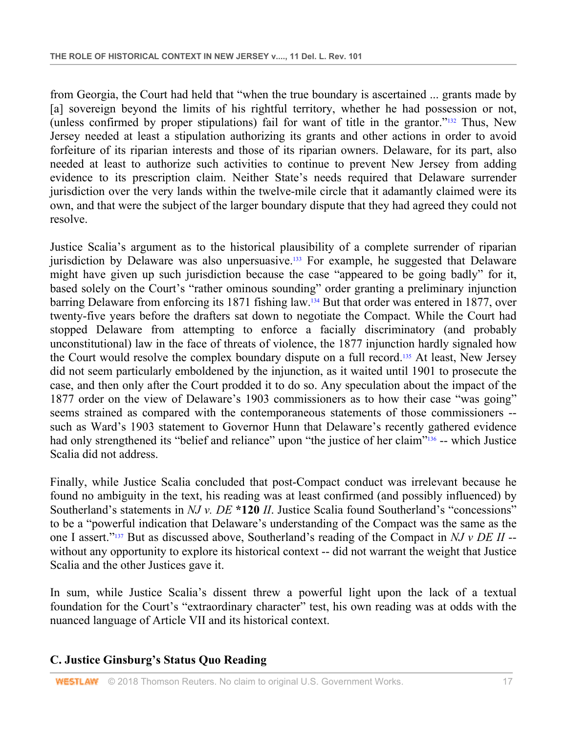from Georgia, the Court had held that "when the true boundary is ascertained ... grants made by [a] sovereign beyond the limits of his rightful territory, whether he had possession or not, (unless confirmed by proper stipulations) fail for want of title in the grantor."132 Thus, New Jersey needed at least a stipulation authorizing its grants and other actions in order to avoid forfeiture of its riparian interests and those of its riparian owners. Delaware, for its part, also needed at least to authorize such activities to continue to prevent New Jersey from adding evidence to its prescription claim. Neither State's needs required that Delaware surrender jurisdiction over the very lands within the twelve-mile circle that it adamantly claimed were its own, and that were the subject of the larger boundary dispute that they had agreed they could not resolve.

Justice Scalia's argument as to the historical plausibility of a complete surrender of riparian jurisdiction by Delaware was also unpersuasive.<sup>133</sup> For example, he suggested that Delaware might have given up such jurisdiction because the case "appeared to be going badly" for it, based solely on the Court's "rather ominous sounding" order granting a preliminary injunction barring Delaware from enforcing its 1871 fishing law.134 But that order was entered in 1877, over twenty-five years before the drafters sat down to negotiate the Compact. While the Court had stopped Delaware from attempting to enforce a facially discriminatory (and probably unconstitutional) law in the face of threats of violence, the 1877 injunction hardly signaled how the Court would resolve the complex boundary dispute on a full record.135 At least, New Jersey did not seem particularly emboldened by the injunction, as it waited until 1901 to prosecute the case, and then only after the Court prodded it to do so. Any speculation about the impact of the 1877 order on the view of Delaware's 1903 commissioners as to how their case "was going" seems strained as compared with the contemporaneous statements of those commissioners - such as Ward's 1903 statement to Governor Hunn that Delaware's recently gathered evidence had only strengthened its "belief and reliance" upon "the justice of her claim"<sup>136</sup> -- which Justice Scalia did not address.

Finally, while Justice Scalia concluded that post-Compact conduct was irrelevant because he found no ambiguity in the text, his reading was at least confirmed (and possibly influenced) by Southerland's statements in *NJ v. DE* \*120 *II*. Justice Scalia found Southerland's "concessions" to be a "powerful indication that Delaware's understanding of the Compact was the same as the one I assert."137 But as discussed above, Southerland's reading of the Compact in *NJ v DE II* - without any opportunity to explore its historical context -- did not warrant the weight that Justice Scalia and the other Justices gave it.

In sum, while Justice Scalia's dissent threw a powerful light upon the lack of a textual foundation for the Court's "extraordinary character" test, his own reading was at odds with the nuanced language of Article VII and its historical context.

### **C. Justice Ginsburg's Status Quo Reading**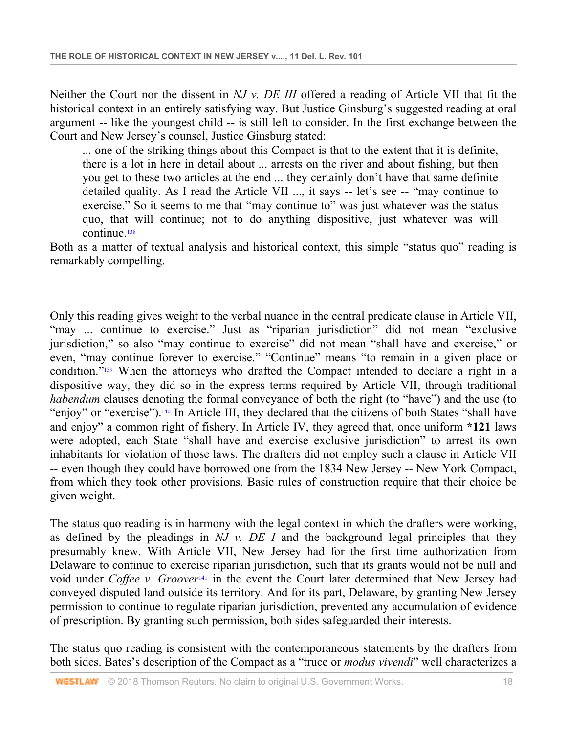Neither the Court nor the dissent in *NJ v. DE III* offered a reading of Article VII that fit the historical context in an entirely satisfying way. But Justice Ginsburg's suggested reading at oral argument -- like the youngest child -- is still left to consider. In the first exchange between the Court and New Jersey's counsel, Justice Ginsburg stated:

... one of the striking things about this Compact is that to the extent that it is definite, there is a lot in here in detail about ... arrests on the river and about fishing, but then you get to these two articles at the end ... they certainly don't have that same definite detailed quality. As I read the Article VII ..., it says -- let's see -- "may continue to exercise." So it seems to me that "may continue to" was just whatever was the status quo, that will continue; not to do anything dispositive, just whatever was will continue.138

Both as a matter of textual analysis and historical context, this simple "status quo" reading is remarkably compelling.

Only this reading gives weight to the verbal nuance in the central predicate clause in Article VII, "may ... continue to exercise." Just as "riparian jurisdiction" did not mean "exclusive jurisdiction," so also "may continue to exercise" did not mean "shall have and exercise," or even, "may continue forever to exercise." "Continue" means "to remain in a given place or condition."139 When the attorneys who drafted the Compact intended to declare a right in a dispositive way, they did so in the express terms required by Article VII, through traditional *habendum* clauses denoting the formal conveyance of both the right (to "have") and the use (to "enjoy" or "exercise").140 In Article III, they declared that the citizens of both States "shall have and enjoy" a common right of fishery. In Article IV, they agreed that, once uniform **\*121** laws were adopted, each State "shall have and exercise exclusive jurisdiction" to arrest its own inhabitants for violation of those laws. The drafters did not employ such a clause in Article VII -- even though they could have borrowed one from the 1834 New Jersey -- New York Compact, from which they took other provisions. Basic rules of construction require that their choice be given weight.

The status quo reading is in harmony with the legal context in which the drafters were working, as defined by the pleadings in *NJ v. DE I* and the background legal principles that they presumably knew. With Article VII, New Jersey had for the first time authorization from Delaware to continue to exercise riparian jurisdiction, such that its grants would not be null and void under *Coffee v. Groover*<sup>141</sup> in the event the Court later determined that New Jersey had conveyed disputed land outside its territory. And for its part, Delaware, by granting New Jersey permission to continue to regulate riparian jurisdiction, prevented any accumulation of evidence of prescription. By granting such permission, both sides safeguarded their interests.

The status quo reading is consistent with the contemporaneous statements by the drafters from both sides. Bates's description of the Compact as a "truce or *modus vivendi*" well characterizes a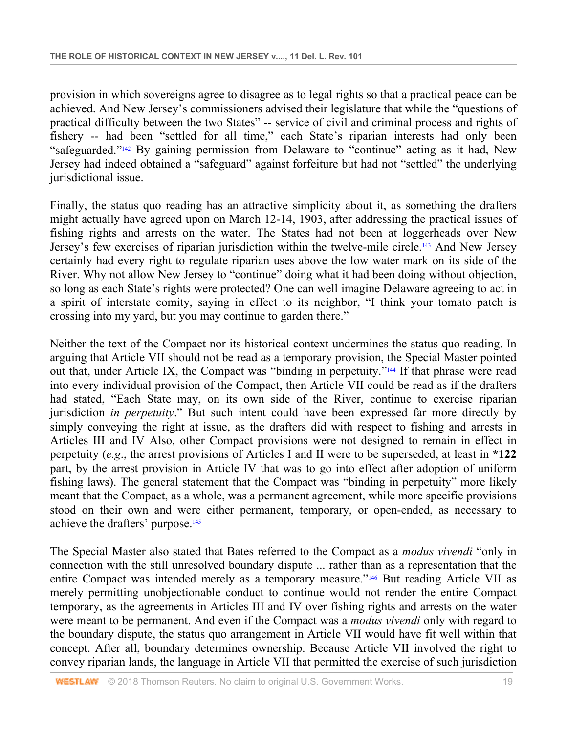provision in which sovereigns agree to disagree as to legal rights so that a practical peace can be achieved. And New Jersey's commissioners advised their legislature that while the "questions of practical difficulty between the two States" -- service of civil and criminal process and rights of fishery -- had been "settled for all time," each State's riparian interests had only been "safeguarded."<sup>142</sup> By gaining permission from Delaware to "continue" acting as it had, New Jersey had indeed obtained a "safeguard" against forfeiture but had not "settled" the underlying jurisdictional issue.

Finally, the status quo reading has an attractive simplicity about it, as something the drafters might actually have agreed upon on March 12-14, 1903, after addressing the practical issues of fishing rights and arrests on the water. The States had not been at loggerheads over New Jersey's few exercises of riparian jurisdiction within the twelve-mile circle.<sup>143</sup> And New Jersey certainly had every right to regulate riparian uses above the low water mark on its side of the River. Why not allow New Jersey to "continue" doing what it had been doing without objection, so long as each State's rights were protected? One can well imagine Delaware agreeing to act in a spirit of interstate comity, saying in effect to its neighbor, "I think your tomato patch is crossing into my yard, but you may continue to garden there."

Neither the text of the Compact nor its historical context undermines the status quo reading. In arguing that Article VII should not be read as a temporary provision, the Special Master pointed out that, under Article IX, the Compact was "binding in perpetuity."144 If that phrase were read into every individual provision of the Compact, then Article VII could be read as if the drafters had stated, "Each State may, on its own side of the River, continue to exercise riparian jurisdiction *in perpetuity*." But such intent could have been expressed far more directly by simply conveying the right at issue, as the drafters did with respect to fishing and arrests in Articles III and IV Also, other Compact provisions were not designed to remain in effect in perpetuity (*e.g*., the arrest provisions of Articles I and II were to be superseded, at least in **\*122** part, by the arrest provision in Article IV that was to go into effect after adoption of uniform fishing laws). The general statement that the Compact was "binding in perpetuity" more likely meant that the Compact, as a whole, was a permanent agreement, while more specific provisions stood on their own and were either permanent, temporary, or open-ended, as necessary to achieve the drafters' purpose.145

The Special Master also stated that Bates referred to the Compact as a *modus vivendi* "only in connection with the still unresolved boundary dispute ... rather than as a representation that the entire Compact was intended merely as a temporary measure."146 But reading Article VII as merely permitting unobjectionable conduct to continue would not render the entire Compact temporary, as the agreements in Articles III and IV over fishing rights and arrests on the water were meant to be permanent. And even if the Compact was a *modus vivendi* only with regard to the boundary dispute, the status quo arrangement in Article VII would have fit well within that concept. After all, boundary determines ownership. Because Article VII involved the right to convey riparian lands, the language in Article VII that permitted the exercise of such jurisdiction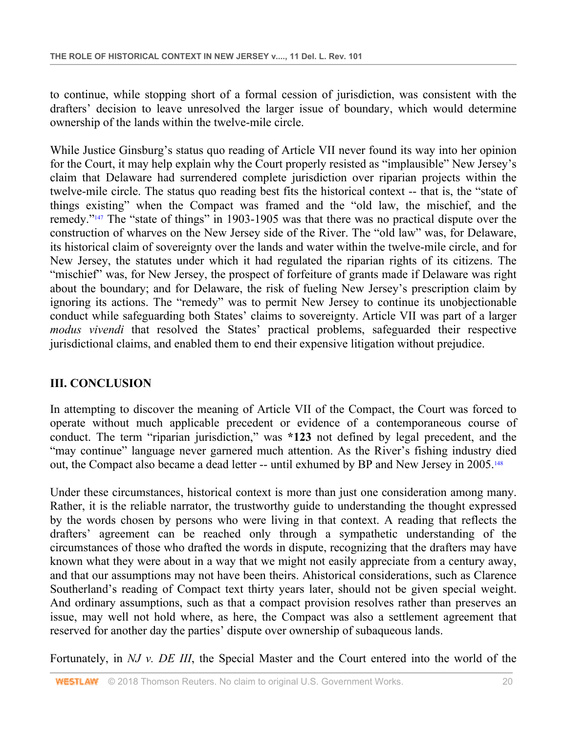to continue, while stopping short of a formal cession of jurisdiction, was consistent with the drafters' decision to leave unresolved the larger issue of boundary, which would determine ownership of the lands within the twelve-mile circle.

While Justice Ginsburg's status quo reading of Article VII never found its way into her opinion for the Court, it may help explain why the Court properly resisted as "implausible" New Jersey's claim that Delaware had surrendered complete jurisdiction over riparian projects within the twelve-mile circle. The status quo reading best fits the historical context -- that is, the "state of things existing" when the Compact was framed and the "old law, the mischief, and the remedy."147 The "state of things" in 1903-1905 was that there was no practical dispute over the construction of wharves on the New Jersey side of the River. The "old law" was, for Delaware, its historical claim of sovereignty over the lands and water within the twelve-mile circle, and for New Jersey, the statutes under which it had regulated the riparian rights of its citizens. The "mischief" was, for New Jersey, the prospect of forfeiture of grants made if Delaware was right about the boundary; and for Delaware, the risk of fueling New Jersey's prescription claim by ignoring its actions. The "remedy" was to permit New Jersey to continue its unobjectionable conduct while safeguarding both States' claims to sovereignty. Article VII was part of a larger *modus vivendi* that resolved the States' practical problems, safeguarded their respective jurisdictional claims, and enabled them to end their expensive litigation without prejudice.

# **III. CONCLUSION**

In attempting to discover the meaning of Article VII of the Compact, the Court was forced to operate without much applicable precedent or evidence of a contemporaneous course of conduct. The term "riparian jurisdiction," was **\*123** not defined by legal precedent, and the "may continue" language never garnered much attention. As the River's fishing industry died out, the Compact also became a dead letter -- until exhumed by BP and New Jersey in 2005.<sup>148</sup>

Under these circumstances, historical context is more than just one consideration among many. Rather, it is the reliable narrator, the trustworthy guide to understanding the thought expressed by the words chosen by persons who were living in that context. A reading that reflects the drafters' agreement can be reached only through a sympathetic understanding of the circumstances of those who drafted the words in dispute, recognizing that the drafters may have known what they were about in a way that we might not easily appreciate from a century away, and that our assumptions may not have been theirs. Ahistorical considerations, such as Clarence Southerland's reading of Compact text thirty years later, should not be given special weight. And ordinary assumptions, such as that a compact provision resolves rather than preserves an issue, may well not hold where, as here, the Compact was also a settlement agreement that reserved for another day the parties' dispute over ownership of subaqueous lands.

Fortunately, in *NJ v. DE III*, the Special Master and the Court entered into the world of the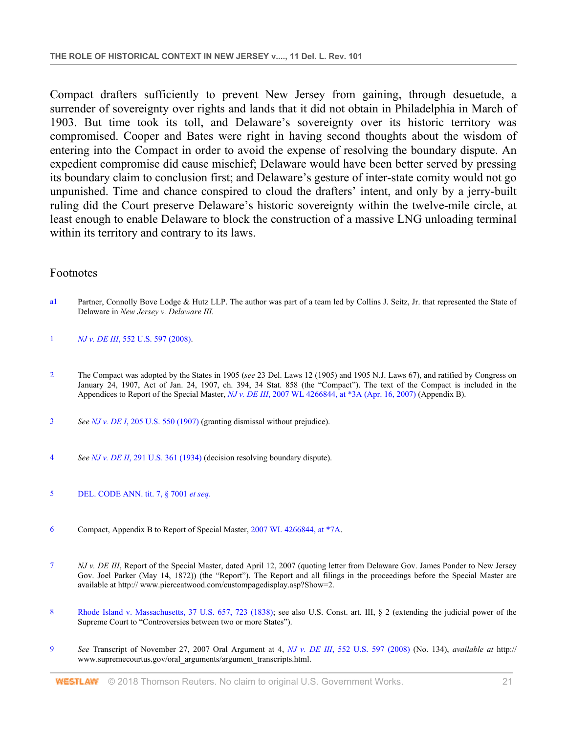Compact drafters sufficiently to prevent New Jersey from gaining, through desuetude, a surrender of sovereignty over rights and lands that it did not obtain in Philadelphia in March of 1903. But time took its toll, and Delaware's sovereignty over its historic territory was compromised. Cooper and Bates were right in having second thoughts about the wisdom of entering into the Compact in order to avoid the expense of resolving the boundary dispute. An expedient compromise did cause mischief; Delaware would have been better served by pressing its boundary claim to conclusion first; and Delaware's gesture of inter-state comity would not go unpunished. Time and chance conspired to cloud the drafters' intent, and only by a jerry-built ruling did the Court preserve Delaware's historic sovereignty within the twelve-mile circle, at least enough to enable Delaware to block the construction of a massive LNG unloading terminal within its territory and contrary to its laws.

#### Footnotes

- a1 Partner, Connolly Bove Lodge & Hutz LLP. The author was part of a team led by Collins J. Seitz, Jr. that represented the State of Delaware in *New Jersey v. Delaware III*.
- 1 *NJ v. DE III*, 552 U.S. 597 (2008).
- 2 The Compact was adopted by the States in 1905 (*see* 23 Del. Laws 12 (1905) and 1905 N.J. Laws 67), and ratified by Congress on January 24, 1907, Act of Jan. 24, 1907, ch. 394, 34 Stat. 858 (the "Compact"). The text of the Compact is included in the Appendices to Report of the Special Master, *NJ v. DE III*, 2007 WL 4266844, at \*3A (Apr. 16, 2007) (Appendix B).
- 3 *See NJ v. DE I*, 205 U.S. 550 (1907) (granting dismissal without prejudice).
- 4 *See NJ v. DE II*, 291 U.S. 361 (1934) (decision resolving boundary dispute).
- 5 DEL. CODE ANN. tit. 7, § 7001 *et seq*.
- 6 Compact, Appendix B to Report of Special Master, 2007 WL 4266844, at \*7A.
- 7 *NJ v. DE III*, Report of the Special Master, dated April 12, 2007 (quoting letter from Delaware Gov. James Ponder to New Jersey Gov. Joel Parker (May 14, 1872)) (the "Report"). The Report and all filings in the proceedings before the Special Master are available at http:// www.pierceatwood.com/custompagedisplay.asp?Show=2.
- 8 Rhode Island v. Massachusetts, 37 U.S. 657, 723 (1838); see also U.S. Const. art. III, § 2 (extending the judicial power of the Supreme Court to "Controversies between two or more States").
- 9 *See* Transcript of November 27, 2007 Oral Argument at 4, *NJ v. DE III*, 552 U.S. 597 (2008) (No. 134), *available at* http:// www.supremecourtus.gov/oral\_arguments/argument\_transcripts.html.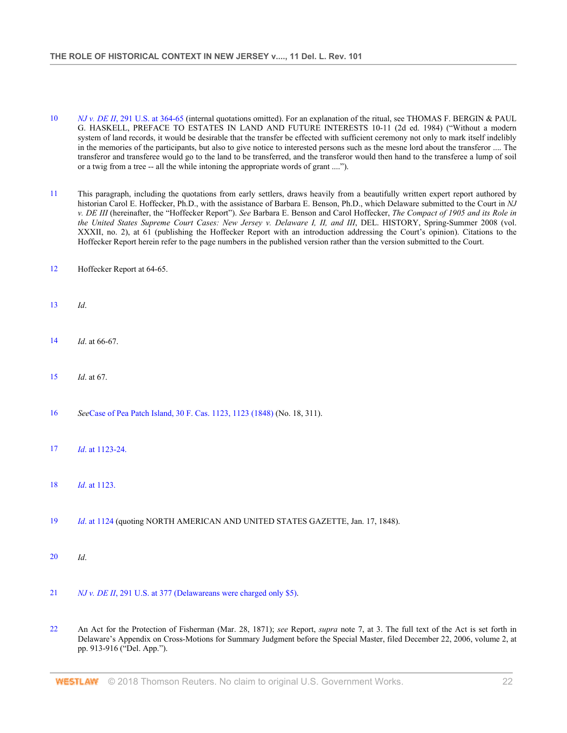- 10 *NJ v. DE II*, 291 U.S. at 364-65 (internal quotations omitted). For an explanation of the ritual, see THOMAS F. BERGIN & PAUL G. HASKELL, PREFACE TO ESTATES IN LAND AND FUTURE INTERESTS 10-11 (2d ed. 1984) ("Without a modern system of land records, it would be desirable that the transfer be effected with sufficient ceremony not only to mark itself indelibly in the memories of the participants, but also to give notice to interested persons such as the mesne lord about the transferor .... The transferor and transferee would go to the land to be transferred, and the transferor would then hand to the transferee a lump of soil or a twig from a tree -- all the while intoning the appropriate words of grant ....").
- 11 This paragraph, including the quotations from early settlers, draws heavily from a beautifully written expert report authored by historian Carol E. Hoffecker, Ph.D., with the assistance of Barbara E. Benson, Ph.D., which Delaware submitted to the Court in *NJ v. DE III* (hereinafter, the "Hoffecker Report"). *See* Barbara E. Benson and Carol Hoffecker, *The Compact of 1905 and its Role in the United States Supreme Court Cases: New Jersey v. Delaware I, II, and III*, DEL. HISTORY, Spring-Summer 2008 (vol. XXXII, no. 2), at 61 (publishing the Hoffecker Report with an introduction addressing the Court's opinion). Citations to the Hoffecker Report herein refer to the page numbers in the published version rather than the version submitted to the Court.
- 12 Hoffecker Report at 64-65.
- 13 *Id*.
- 14 *Id*. at 66-67.
- 15 *Id*. at 67.
- 16 *See*Case of Pea Patch Island, 30 F. Cas. 1123, 1123 (1848) (No. 18, 311).
- 17 *Id*. at 1123-24.
- 18 *Id*. at 1123.
- 19 *Id*. at 1124 (quoting NORTH AMERICAN AND UNITED STATES GAZETTE, Jan. 17, 1848).
- 20 *Id*.
- 21 *NJ v. DE II*, 291 U.S. at 377 (Delawareans were charged only \$5).
- 22 An Act for the Protection of Fisherman (Mar. 28, 1871); *see* Report, *supra* note 7, at 3. The full text of the Act is set forth in Delaware's Appendix on Cross-Motions for Summary Judgment before the Special Master, filed December 22, 2006, volume 2, at pp. 913-916 ("Del. App.").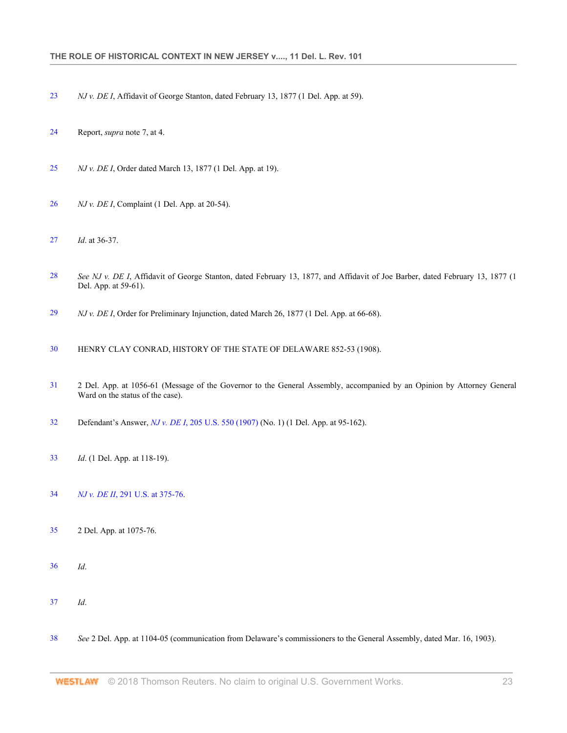- *NJ v. DE I*, Affidavit of George Stanton, dated February 13, 1877 (1 Del. App. at 59).
- Report, *supra* note 7, at 4.
- *NJ v. DE I*, Order dated March 13, 1877 (1 Del. App. at 19).
- *NJ v. DE I*, Complaint (1 Del. App. at 20-54).
- *Id*. at 36-37.
- *See NJ v. DE I*, Affidavit of George Stanton, dated February 13, 1877, and Affidavit of Joe Barber, dated February 13, 1877 (1 Del. App. at 59-61).
- *NJ v. DE I*, Order for Preliminary Injunction, dated March 26, 1877 (1 Del. App. at 66-68).
- HENRY CLAY CONRAD, HISTORY OF THE STATE OF DELAWARE 852-53 (1908).
- 2 Del. App. at 1056-61 (Message of the Governor to the General Assembly, accompanied by an Opinion by Attorney General Ward on the status of the case).
- Defendant's Answer, *NJ v. DE I*, 205 U.S. 550 (1907) (No. 1) (1 Del. App. at 95-162).
- *Id*. (1 Del. App. at 118-19).
- *NJ v. DE II*, 291 U.S. at 375-76.
- 2 Del. App. at 1075-76.
- *Id*.
- *Id*.
- *See* 2 Del. App. at 1104-05 (communication from Delaware's commissioners to the General Assembly, dated Mar. 16, 1903).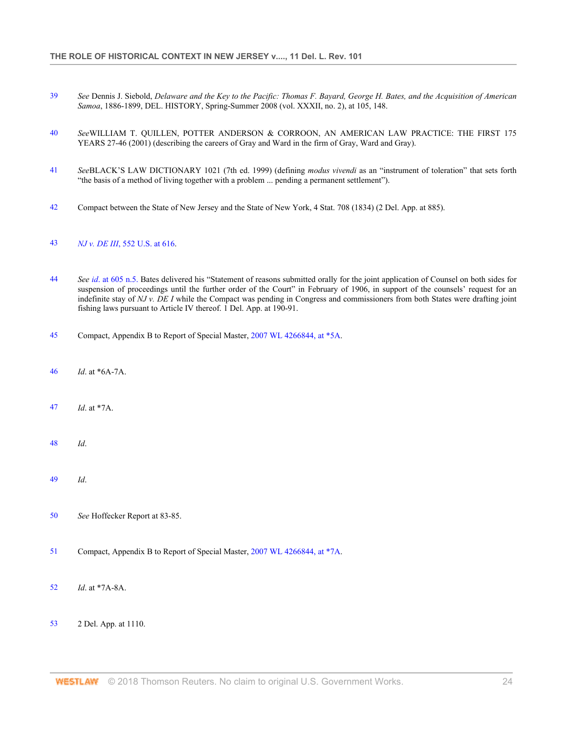- *See* Dennis J. Siebold, *Delaware and the Key to the Pacific: Thomas F. Bayard, George H. Bates, and the Acquisition of American Samoa*, 1886-1899, DEL. HISTORY, Spring-Summer 2008 (vol. XXXII, no. 2), at 105, 148.
- *See*WILLIAM T. QUILLEN, POTTER ANDERSON & CORROON, AN AMERICAN LAW PRACTICE: THE FIRST 175 YEARS 27-46 (2001) (describing the careers of Gray and Ward in the firm of Gray, Ward and Gray).
- *See*BLACK'S LAW DICTIONARY 1021 (7th ed. 1999) (defining *modus vivendi* as an "instrument of toleration" that sets forth "the basis of a method of living together with a problem ... pending a permanent settlement").
- Compact between the State of New Jersey and the State of New York, 4 Stat. 708 (1834) (2 Del. App. at 885).

#### *NJ v. DE III*, 552 U.S. at 616.

- *See id*. at 605 n.5. Bates delivered his "Statement of reasons submitted orally for the joint application of Counsel on both sides for suspension of proceedings until the further order of the Court" in February of 1906, in support of the counsels' request for an indefinite stay of *NJ v. DE I* while the Compact was pending in Congress and commissioners from both States were drafting joint fishing laws pursuant to Article IV thereof. 1 Del. App. at 190-91.
- Compact, Appendix B to Report of Special Master, 2007 WL 4266844, at \*5A.
- *Id*. at \*6A-7A.
- *Id*. at \*7A.
- *Id*.
- *Id*.
- *See* Hoffecker Report at 83-85.
- Compact, Appendix B to Report of Special Master, 2007 WL 4266844, at \*7A.
- *Id*. at \*7A-8A.
- 2 Del. App. at 1110.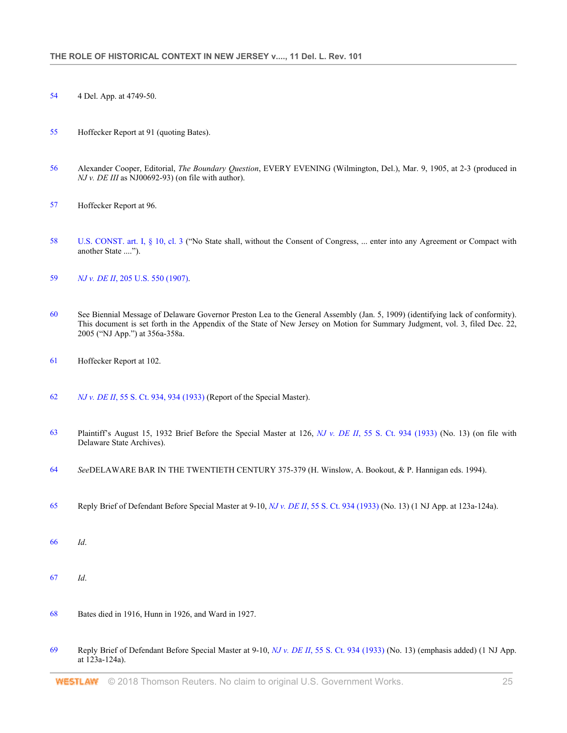- 4 Del. App. at 4749-50.
- Hoffecker Report at 91 (quoting Bates).
- Alexander Cooper, Editorial, *The Boundary Question*, EVERY EVENING (Wilmington, Del.), Mar. 9, 1905, at 2-3 (produced in *NJ v. DE III* as NJ00692-93) (on file with author).
- Hoffecker Report at 96.
- U.S. CONST. art. I, § 10, cl. 3 ("No State shall, without the Consent of Congress, ... enter into any Agreement or Compact with another State ....").
- *NJ v. DE II*, 205 U.S. 550 (1907).
- See Biennial Message of Delaware Governor Preston Lea to the General Assembly (Jan. 5, 1909) (identifying lack of conformity). This document is set forth in the Appendix of the State of New Jersey on Motion for Summary Judgment, vol. 3, filed Dec. 22, 2005 ("NJ App.") at 356a-358a.
- Hoffecker Report at 102.
- *NJ v. DE II*, 55 S. Ct. 934, 934 (1933) (Report of the Special Master).
- Plaintiff's August 15, 1932 Brief Before the Special Master at 126, *NJ v. DE II*, 55 S. Ct. 934 (1933) (No. 13) (on file with Delaware State Archives).
- *See*DELAWARE BAR IN THE TWENTIETH CENTURY 375-379 (H. Winslow, A. Bookout, & P. Hannigan eds. 1994).
- Reply Brief of Defendant Before Special Master at 9-10, *NJ v. DE II*, 55 S. Ct. 934 (1933) (No. 13) (1 NJ App. at 123a-124a).
- *Id*.
- *Id*.
- Bates died in 1916, Hunn in 1926, and Ward in 1927.
- Reply Brief of Defendant Before Special Master at 9-10, *NJ v. DE II*, 55 S. Ct. 934 (1933) (No. 13) (emphasis added) (1 NJ App. at 123a-124a).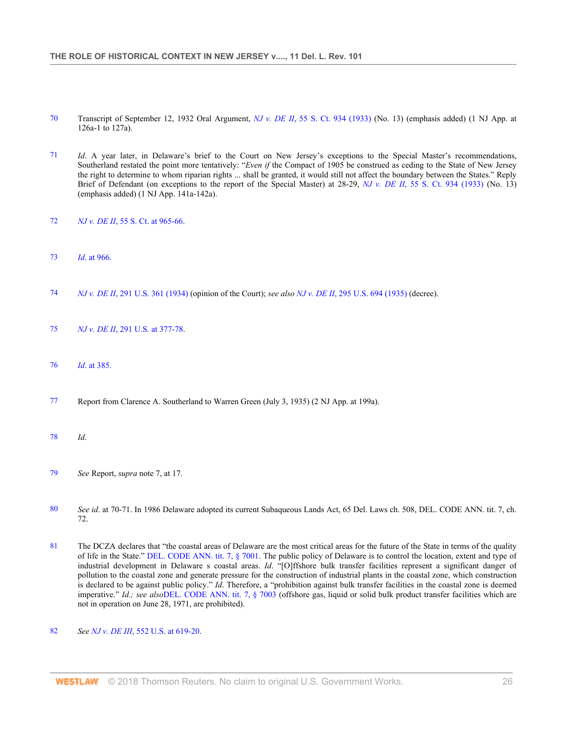- 70 Transcript of September 12, 1932 Oral Argument, *NJ v. DE II*, 55 S. Ct. 934 (1933) (No. 13) (emphasis added) (1 NJ App. at 126a-1 to 127a).
- 71 *Id*. A year later, in Delaware's brief to the Court on New Jersey's exceptions to the Special Master's recommendations, Southerland restated the point more tentatively: "*Even if* the Compact of 1905 be construed as ceding to the State of New Jersey the right to determine to whom riparian rights ... shall be granted, it would still not affect the boundary between the States." Reply Brief of Defendant (on exceptions to the report of the Special Master) at 28-29, *NJ v. DE II*, 55 S. Ct. 934 (1933) (No. 13) (emphasis added) (1 NJ App. 141a-142a).
- 72 *NJ v. DE II*, 55 S. Ct. at 965-66.
- 73 *Id*. at 966.
- 74 *NJ v. DE II*, 291 U.S. 361 (1934) (opinion of the Court); *see also NJ v. DE II*, 295 U.S. 694 (1935) (decree).
- 75 *NJ v. DE II*, 291 U.S. at 377-78.
- 76 *Id*. at 385.
- 77 Report from Clarence A. Southerland to Warren Green (July 3, 1935) (2 NJ App. at 199a).
- 78 *Id*.
- 79 *See* Report, *supra* note 7, at 17.
- 80 *See id*. at 70-71. In 1986 Delaware adopted its current Subaqueous Lands Act, 65 Del. Laws ch. 508, DEL. CODE ANN. tit. 7, ch. 72.
- 81 The DCZA declares that "the coastal areas of Delaware are the most critical areas for the future of the State in terms of the quality of life in the State." DEL. CODE ANN. tit. 7, § 7001. The public policy of Delaware is to control the location, extent and type of industrial development in Delaware s coastal areas. *Id*. "[O]ffshore bulk transfer facilities represent a significant danger of pollution to the coastal zone and generate pressure for the construction of industrial plants in the coastal zone, which construction is declared to be against public policy." *Id*. Therefore, a "prohibition against bulk transfer facilities in the coastal zone is deemed imperative." *Id.; see also*DEL. CODE ANN. tit. 7, § 7003 (offshore gas, liquid or solid bulk product transfer facilities which are not in operation on June 28, 1971, are prohibited).
- 82 *See NJ v. DE III*, 552 U.S. at 619-20.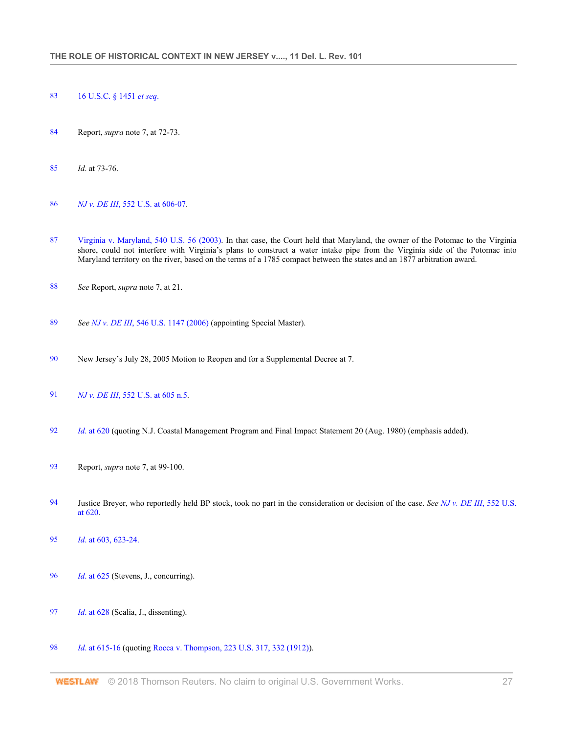- 16 U.S.C. § 1451 *et seq*.
- Report, *supra* note 7, at 72-73.
- *Id*. at 73-76.
- *NJ v. DE III*, 552 U.S. at 606-07.
- Virginia v. Maryland, 540 U.S. 56 (2003). In that case, the Court held that Maryland, the owner of the Potomac to the Virginia shore, could not interfere with Virginia's plans to construct a water intake pipe from the Virginia side of the Potomac into Maryland territory on the river, based on the terms of a 1785 compact between the states and an 1877 arbitration award.
- *See* Report, *supra* note 7, at 21.
- *See NJ v. DE III*, 546 U.S. 1147 (2006) (appointing Special Master).
- New Jersey's July 28, 2005 Motion to Reopen and for a Supplemental Decree at 7.
- *NJ v. DE III*, 552 U.S. at 605 n.5.
- *Id*. at 620 (quoting N.J. Coastal Management Program and Final Impact Statement 20 (Aug. 1980) (emphasis added).
- Report, *supra* note 7, at 99-100.
- Justice Breyer, who reportedly held BP stock, took no part in the consideration or decision of the case. *See NJ v. DE III*, 552 U.S. at 620.
- *Id*. at 603, 623-24.
- *Id*. at 625 (Stevens, J., concurring).
- *Id*. at 628 (Scalia, J., dissenting).
- *Id*. at 615-16 (quoting Rocca v. Thompson, 223 U.S. 317, 332 (1912)).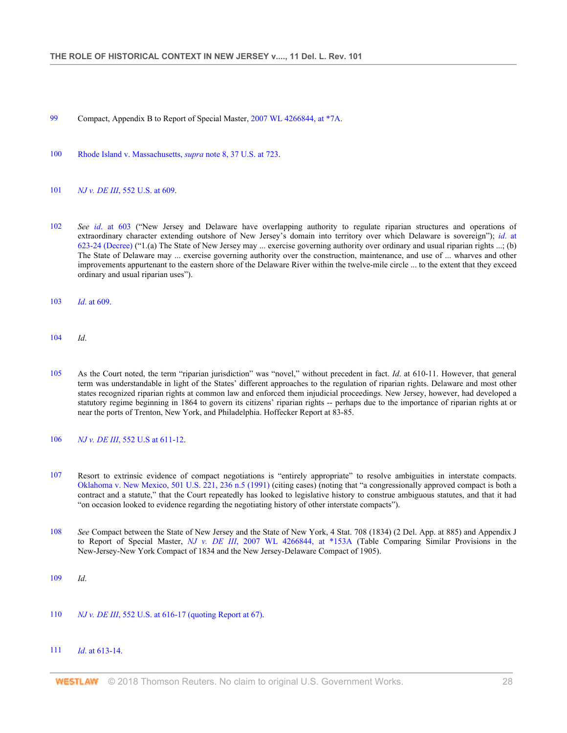- 99 Compact, Appendix B to Report of Special Master, 2007 WL 4266844, at \*7A.
- 100 Rhode Island v. Massachusetts, *supra* note 8, 37 U.S. at 723.
- 101 *NJ v. DE III*, 552 U.S. at 609.
- 102 *See id*. at 603 ("New Jersey and Delaware have overlapping authority to regulate riparian structures and operations of extraordinary character extending outshore of New Jersey's domain into territory over which Delaware is sovereign"); *id*. at 623-24 (Decree) ("1.(a) The State of New Jersey may ... exercise governing authority over ordinary and usual riparian rights ...; (b) The State of Delaware may ... exercise governing authority over the construction, maintenance, and use of ... wharves and other improvements appurtenant to the eastern shore of the Delaware River within the twelve-mile circle ... to the extent that they exceed ordinary and usual riparian uses").
- 103 *Id*. at 609.
- 104 *Id*.
- 105 As the Court noted, the term "riparian jurisdiction" was "novel," without precedent in fact. *Id*. at 610-11. However, that general term was understandable in light of the States' different approaches to the regulation of riparian rights. Delaware and most other states recognized riparian rights at common law and enforced them injudicial proceedings. New Jersey, however, had developed a statutory regime beginning in 1864 to govern its citizens' riparian rights -- perhaps due to the importance of riparian rights at or near the ports of Trenton, New York, and Philadelphia. Hoffecker Report at 83-85.
- 106 *NJ v. DE III*, 552 U.S at 611-12.
- 107 Resort to extrinsic evidence of compact negotiations is "entirely appropriate" to resolve ambiguities in interstate compacts. Oklahoma v. New Mexico, 501 U.S. 221, 236 n.5 (1991) (citing cases) (noting that "a congressionally approved compact is both a contract and a statute," that the Court repeatedly has looked to legislative history to construe ambiguous statutes, and that it had "on occasion looked to evidence regarding the negotiating history of other interstate compacts").
- 108 *See* Compact between the State of New Jersey and the State of New York, 4 Stat. 708 (1834) (2 Del. App. at 885) and Appendix J to Report of Special Master, *NJ v. DE III*, 2007 WL 4266844, at \*153A (Table Comparing Similar Provisions in the New-Jersey-New York Compact of 1834 and the New Jersey-Delaware Compact of 1905).
- 109 *Id*.
- 110 *NJ v. DE III*, 552 U.S. at 616-17 (quoting Report at 67).
- 111 *Id*. at 613-14.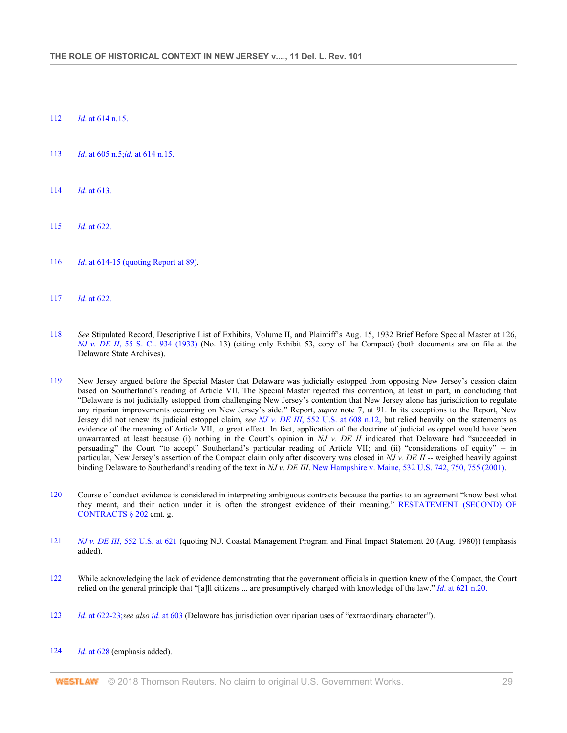- 112 *Id*. at 614 n.15.
- 113 *Id*. at 605 n.5;*id*. at 614 n.15.
- 114 *Id*. at 613.
- 115 *Id*. at 622.
- 116 *Id*. at 614-15 (quoting Report at 89).
- 117 *Id*. at 622.
- 118 *See* Stipulated Record, Descriptive List of Exhibits, Volume II, and Plaintiff's Aug. 15, 1932 Brief Before Special Master at 126, *NJ v. DE II*, 55 S. Ct. 934 (1933) (No. 13) (citing only Exhibit 53, copy of the Compact) (both documents are on file at the Delaware State Archives).
- 119 New Jersey argued before the Special Master that Delaware was judicially estopped from opposing New Jersey's cession claim based on Southerland's reading of Article VII. The Special Master rejected this contention, at least in part, in concluding that "Delaware is not judicially estopped from challenging New Jersey's contention that New Jersey alone has jurisdiction to regulate any riparian improvements occurring on New Jersey's side." Report, *supra* note 7, at 91. In its exceptions to the Report, New Jersey did not renew its judicial estoppel claim, *see NJ v. DE III*, 552 U.S. at 608 n.12, but relied heavily on the statements as evidence of the meaning of Article VII, to great effect. In fact, application of the doctrine of judicial estoppel would have been unwarranted at least because (i) nothing in the Court's opinion in *NJ v. DE II* indicated that Delaware had "succeeded in persuading" the Court "to accept" Southerland's particular reading of Article VII; and (ii) "considerations of equity" -- in particular, New Jersey's assertion of the Compact claim only after discovery was closed in *NJ v. DE II* -- weighed heavily against binding Delaware to Southerland's reading of the text in *NJ v. DE III*. New Hampshire v. Maine, 532 U.S. 742, 750, 755 (2001).
- 120 Course of conduct evidence is considered in interpreting ambiguous contracts because the parties to an agreement "know best what they meant, and their action under it is often the strongest evidence of their meaning." RESTATEMENT (SECOND) OF CONTRACTS § 202 cmt. g.
- 121 *NJ v. DE III*, 552 U.S. at 621 (quoting N.J. Coastal Management Program and Final Impact Statement 20 (Aug. 1980)) (emphasis added).
- 122 While acknowledging the lack of evidence demonstrating that the government officials in question knew of the Compact, the Court relied on the general principle that "[a]ll citizens ... are presumptively charged with knowledge of the law." *Id*. at 621 n.20.
- 123 *Id*. at 622-23;*see also id*. at 603 (Delaware has jurisdiction over riparian uses of "extraordinary character").

#### 124 *Id*. at 628 (emphasis added).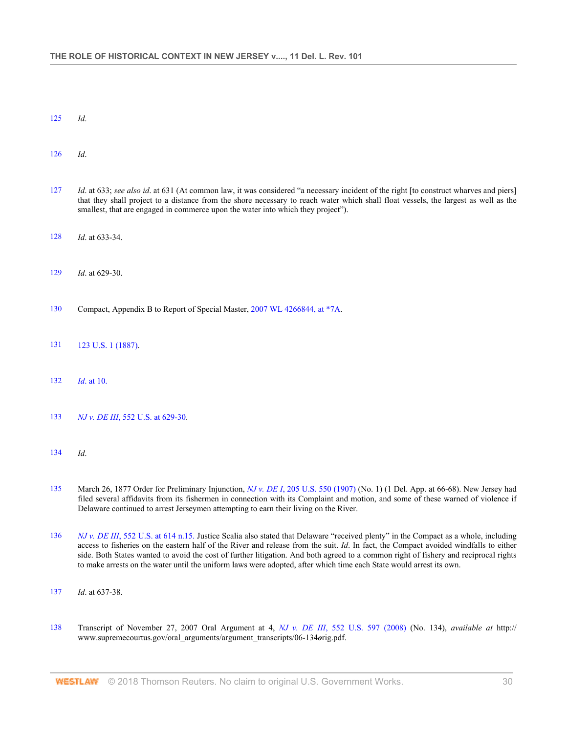- 125 *Id*.
- 126 *Id*.
- 127 *Id*. at 633; *see also id*. at 631 (At common law, it was considered "a necessary incident of the right [to construct wharves and piers] that they shall project to a distance from the shore necessary to reach water which shall float vessels, the largest as well as the smallest, that are engaged in commerce upon the water into which they project").
- 128 *Id*. at 633-34.
- 129 *Id*. at 629-30.
- 130 Compact, Appendix B to Report of Special Master, 2007 WL 4266844, at \*7A.
- 131 123 U.S. 1 (1887).
- 132 *Id*. at 10.
- 133 *NJ v. DE III*, 552 U.S. at 629-30.
- 134 *Id*.
- 135 March 26, 1877 Order for Preliminary Injunction, *NJ v. DE I*, 205 U.S. 550 (1907) (No. 1) (1 Del. App. at 66-68). New Jersey had filed several affidavits from its fishermen in connection with its Complaint and motion, and some of these warned of violence if Delaware continued to arrest Jerseymen attempting to earn their living on the River.
- 136 *NJ v. DE III*, 552 U.S. at 614 n.15. Justice Scalia also stated that Delaware "received plenty" in the Compact as a whole, including access to fisheries on the eastern half of the River and release from the suit. *Id*. In fact, the Compact avoided windfalls to either side. Both States wanted to avoid the cost of further litigation. And both agreed to a common right of fishery and reciprocal rights to make arrests on the water until the uniform laws were adopted, after which time each State would arrest its own.
- 137 *Id*. at 637-38.
- 138 Transcript of November 27, 2007 Oral Argument at 4, *NJ v. DE III*, 552 U.S. 597 (2008) (No. 134), *available at* http:// www.supremecourtus.gov/oral\_arguments/argument\_transcripts/06-134*o*rig.pdf.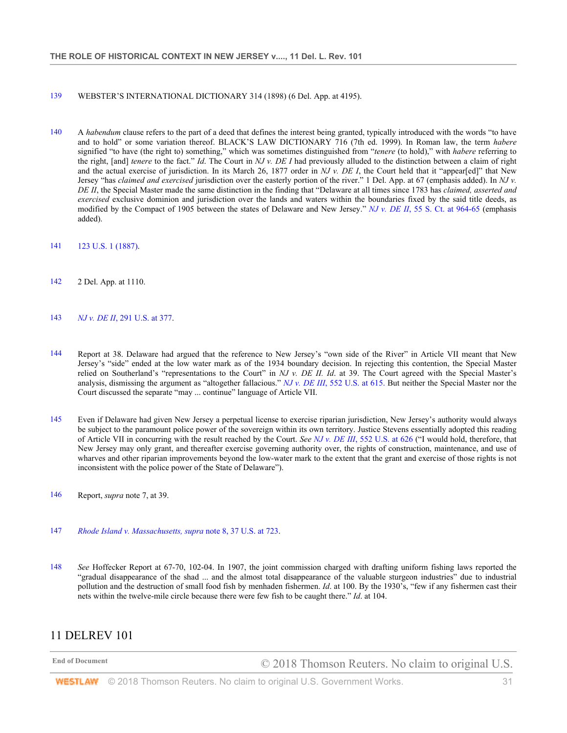#### 139 WEBSTER'S INTERNATIONAL DICTIONARY 314 (1898) (6 Del. App. at 4195).

- 140 A *habendum* clause refers to the part of a deed that defines the interest being granted, typically introduced with the words "to have and to hold" or some variation thereof. BLACK'S LAW DICTIONARY 716 (7th ed. 1999). In Roman law, the term *habere* signified "to have (the right to) something," which was sometimes distinguished from "*tenere* (to hold)," with *habere* referring to the right, [and] *tenere* to the fact." *Id*. The Court in *NJ v. DE I* had previously alluded to the distinction between a claim of right and the actual exercise of jurisdiction. In its March 26, 1877 order in *NJ v. DE I*, the Court held that it "appear[ed]" that New Jersey "has *claimed and exercised* jurisdiction over the easterly portion of the river." 1 Del. App. at 67 (emphasis added). In *NJ v. DE II*, the Special Master made the same distinction in the finding that "Delaware at all times since 1783 has *claimed, asserted and exercised* exclusive dominion and jurisdiction over the lands and waters within the boundaries fixed by the said title deeds, as modified by the Compact of 1905 between the states of Delaware and New Jersey." *NJ v. DE II*, 55 S. Ct. at 964-65 (emphasis added).
- 141 123 U.S. 1 (1887).
- 142 2 Del. App. at 1110.
- 143 *NJ v. DE II*, 291 U.S. at 377.
- 144 Report at 38. Delaware had argued that the reference to New Jersey's "own side of the River" in Article VII meant that New Jersey's "side" ended at the low water mark as of the 1934 boundary decision. In rejecting this contention, the Special Master relied on Southerland's "representations to the Court" in *NJ v. DE II. Id*. at 39. The Court agreed with the Special Master's analysis, dismissing the argument as "altogether fallacious." *NJ v. DE III*, 552 U.S. at 615. But neither the Special Master nor the Court discussed the separate "may ... continue" language of Article VII.
- 145 Even if Delaware had given New Jersey a perpetual license to exercise riparian jurisdiction, New Jersey's authority would always be subject to the paramount police power of the sovereign within its own territory. Justice Stevens essentially adopted this reading of Article VII in concurring with the result reached by the Court. *See NJ v. DE III*, 552 U.S. at 626 ("I would hold, therefore, that New Jersey may only grant, and thereafter exercise governing authority over, the rights of construction, maintenance, and use of wharves and other riparian improvements beyond the low-water mark to the extent that the grant and exercise of those rights is not inconsistent with the police power of the State of Delaware").
- 146 Report, *supra* note 7, at 39.
- 147 *Rhode Island v. Massachusetts, supra* note 8, 37 U.S. at 723.
- 148 *See* Hoffecker Report at 67-70, 102-04. In 1907, the joint commission charged with drafting uniform fishing laws reported the "gradual disappearance of the shad ... and the almost total disappearance of the valuable sturgeon industries" due to industrial pollution and the destruction of small food fish by menhaden fishermen. *Id*. at 100. By the 1930's, "few if any fishermen cast their nets within the twelve-mile circle because there were few fish to be caught there." *Id*. at 104.

#### 11 DELREV 101

End of Document **COLOUS** COLOUS Thomson Reuters. No claim to original U.S.

**WESTLAW** © 2018 Thomson Reuters. No claim to original U.S. Government Works. **31** 31